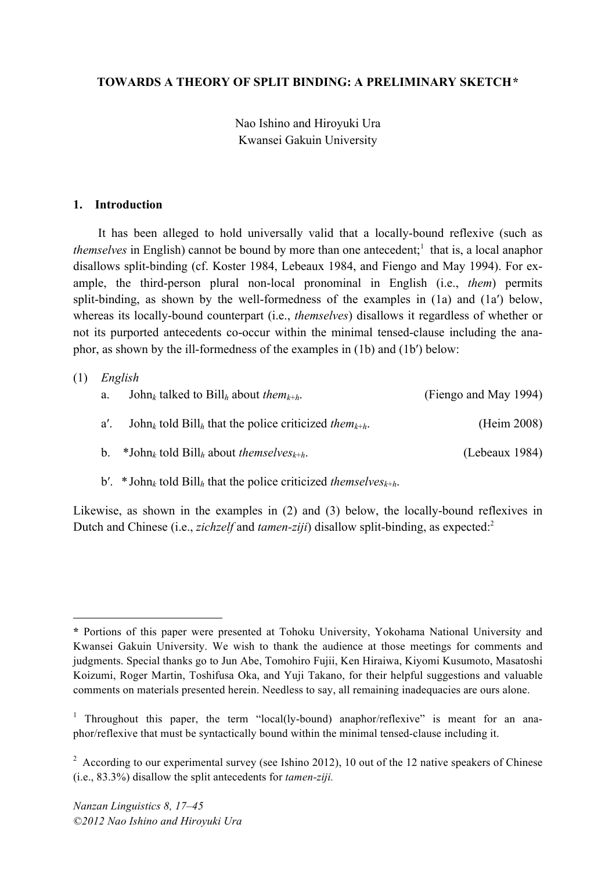## **TOWARDS A THEORY OF SPLIT BINDING: A PRELIMINARY SKETCH\***

Nao Ishino and Hiroyuki Ura Kwansei Gakuin University

### **1. Introduction**

It has been alleged to hold universally valid that a locally-bound reflexive (such as *themselves* in English) cannot be bound by more than one antecedent;<sup>1</sup> that is, a local anaphor disallows split-binding (cf. Koster 1984, Lebeaux 1984, and Fiengo and May 1994). For example, the third-person plural non-local pronominal in English (i.e., *them*) permits split-binding, as shown by the well-formedness of the examples in (1a) and (1a′) below, whereas its locally-bound counterpart (i.e., *themselves*) disallows it regardless of whether or not its purported antecedents co-occur within the minimal tensed-clause including the anaphor, as shown by the ill-formedness of the examples in (1b) and (1b′) below:

### (1) *English*

 $\overline{a}$ 

| a.     | John <sub>k</sub> talked to Bill <sub>h</sub> about <i>them</i> <sub>k+h</sub> .                  | (Fiengo and May 1994) |
|--------|---------------------------------------------------------------------------------------------------|-----------------------|
| $a'$ . | John <sub>k</sub> told Bill <sub>h</sub> that the police criticized <i>them</i> <sub>k+h</sub> .  | (Heim 2008)           |
|        | b. *John <sub>k</sub> told Bill <sub>h</sub> about <i>themselves</i> <sub><math>k+h</math>.</sub> | (Lebeaux 1984)        |

b'. \* John<sub>k</sub> told Bill<sub>h</sub> that the police criticized *themselves*<sub> $k+h$ .

Likewise, as shown in the examples in (2) and (3) below, the locally-bound reflexives in Dutch and Chinese (i.e., *zichzelf* and *tamen-ziji*) disallow split-binding, as expected:<sup>2</sup>

**<sup>\*</sup>** Portions of this paper were presented at Tohoku University, Yokohama National University and Kwansei Gakuin University. We wish to thank the audience at those meetings for comments and judgments. Special thanks go to Jun Abe, Tomohiro Fujii, Ken Hiraiwa, Kiyomi Kusumoto, Masatoshi Koizumi, Roger Martin, Toshifusa Oka, and Yuji Takano, for their helpful suggestions and valuable comments on materials presented herein. Needless to say, all remaining inadequacies are ours alone.

<sup>&</sup>lt;sup>1</sup> Throughout this paper, the term "local(ly-bound) anaphor/reflexive" is meant for an anaphor/reflexive that must be syntactically bound within the minimal tensed-clause including it.

<sup>&</sup>lt;sup>2</sup> According to our experimental survey (see Ishino 2012), 10 out of the 12 native speakers of Chinese (i.e., 83.3%) disallow the split antecedents for *tamen-ziji.*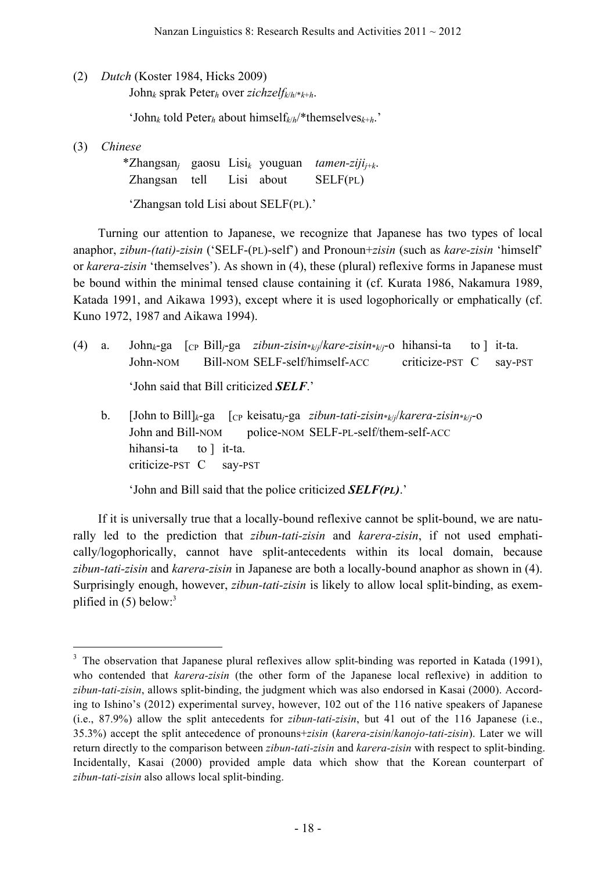(2) *Dutch* (Koster 1984, Hicks 2009)

John*<sup>k</sup>* sprak Peter*<sup>h</sup>* over *zichzelfk*/*h*/\**k*+*h*.

'John*<sup>k</sup>* told Peter*<sup>h</sup>* about himself*k*/*h*/\*themselves*k*+*h*.'

(3) *Chinese*

 \*Zhangsan*<sup>j</sup>* gaosu Lisi*<sup>k</sup>* youguan *tamen-zijij*+*k*. Zhangsan tell Lisi about SELF(PL)

'Zhangsan told Lisi about SELF(PL).'

Turning our attention to Japanese, we recognize that Japanese has two types of local anaphor, *zibun-(tati)-zisin* ('SELF-(PL)-self') and Pronoun+*zisin* (such as *kare-zisin* 'himself' or *karera-zisin* 'themselves'). As shown in (4), these (plural) reflexive forms in Japanese must be bound within the minimal tensed clause containing it (cf. Kurata 1986, Nakamura 1989, Katada 1991, and Aikawa 1993), except where it is used logophorically or emphatically (cf. Kuno 1972, 1987 and Aikawa 1994).

- (4) a. John*k*-ga [CP Bill*j*-ga *zibun-zisin*\**k*/*j*/*kare-zisin*\**k*/*j*-o hihansi-ta to ] it-ta. John-NOM Bill-NOM SELF-self/himself-ACC criticize-PST C say-PST 'John said that Bill criticized *SELF*.'
	- b. [John to Bill]*k*-ga [CP keisatu*j*-ga *zibun-tati-zisin*\**k*/*j*/*karera-zisin*\**k*/*j*-o John and Bill-NOM police-NOM SELF-PL-self/them-self-ACC hihansi-ta to l it-ta. criticize-PST C say-PST

'John and Bill said that the police criticized *SELF(PL)*.'

If it is universally true that a locally-bound reflexive cannot be split-bound, we are naturally led to the prediction that *zibun-tati-zisin* and *karera-zisin*, if not used emphatically/logophorically, cannot have split-antecedents within its local domain, because *zibun-tati-zisin* and *karera-zisin* in Japanese are both a locally-bound anaphor as shown in (4). Surprisingly enough, however, *zibun-tati-zisin* is likely to allow local split-binding, as exemplified in (5) below: 3

<sup>&</sup>lt;sup>3</sup> The observation that Japanese plural reflexives allow split-binding was reported in Katada (1991), who contended that *karera-zisin* (the other form of the Japanese local reflexive) in addition to *zibun-tati-zisin*, allows split-binding, the judgment which was also endorsed in Kasai (2000). According to Ishino's (2012) experimental survey, however, 102 out of the 116 native speakers of Japanese (i.e., 87.9%) allow the split antecedents for *zibun-tati-zisin*, but 41 out of the 116 Japanese (i.e., 35.3%) accept the split antecedence of pronouns+*zisin* (*karera-zisin*/*kanojo-tati-zisin*). Later we will return directly to the comparison between *zibun-tati-zisin* and *karera-zisin* with respect to split-binding. Incidentally, Kasai (2000) provided ample data which show that the Korean counterpart of *zibun-tati-zisin* also allows local split-binding.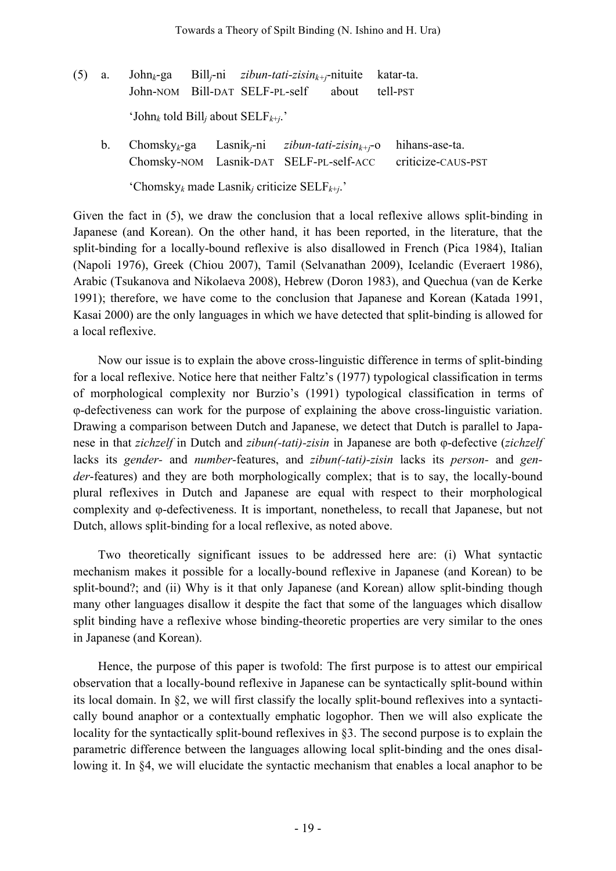- (5) a. John*k*-ga Bill*j*-ni *zibun-tati-zisink+j*-nituite katar-ta. John-NOM Bill-DAT SELF-PL-self about tell-PST 'John*<sup>k</sup>* told Bill*<sup>j</sup>* about SELF*k*+*j*.'
	- b. Chomsky*k*-ga Lasnik*j*-ni *zibun-tati-zisink+j*-o hihans-ase-ta. Chomsky-NOM Lasnik-DAT SELF-PL-self-ACC criticize-CAUS-PST 'Chomsky*<sup>k</sup>* made Lasnik*<sup>j</sup>* criticize SELF*k*+*j*.'

Given the fact in (5), we draw the conclusion that a local reflexive allows split-binding in Japanese (and Korean). On the other hand, it has been reported, in the literature, that the split-binding for a locally-bound reflexive is also disallowed in French (Pica 1984), Italian (Napoli 1976), Greek (Chiou 2007), Tamil (Selvanathan 2009), Icelandic (Everaert 1986), Arabic (Tsukanova and Nikolaeva 2008), Hebrew (Doron 1983), and Quechua (van de Kerke 1991); therefore, we have come to the conclusion that Japanese and Korean (Katada 1991, Kasai 2000) are the only languages in which we have detected that split-binding is allowed for a local reflexive.

Now our issue is to explain the above cross-linguistic difference in terms of split-binding for a local reflexive. Notice here that neither Faltz's (1977) typological classification in terms of morphological complexity nor Burzio's (1991) typological classification in terms of φ-defectiveness can work for the purpose of explaining the above cross-linguistic variation. Drawing a comparison between Dutch and Japanese, we detect that Dutch is parallel to Japanese in that *zichzelf* in Dutch and *zibun(-tati)-zisin* in Japanese are both φ-defective (*zichzelf* lacks its *gender-* and *number-*features, and *zibun(-tati)-zisin* lacks its *person-* and *gender*-features) and they are both morphologically complex; that is to say, the locally-bound plural reflexives in Dutch and Japanese are equal with respect to their morphological complexity and φ-defectiveness. It is important, nonetheless, to recall that Japanese, but not Dutch, allows split-binding for a local reflexive, as noted above.

Two theoretically significant issues to be addressed here are: (i) What syntactic mechanism makes it possible for a locally-bound reflexive in Japanese (and Korean) to be split-bound?; and (ii) Why is it that only Japanese (and Korean) allow split-binding though many other languages disallow it despite the fact that some of the languages which disallow split binding have a reflexive whose binding-theoretic properties are very similar to the ones in Japanese (and Korean).

Hence, the purpose of this paper is twofold: The first purpose is to attest our empirical observation that a locally-bound reflexive in Japanese can be syntactically split-bound within its local domain. In §2, we will first classify the locally split-bound reflexives into a syntactically bound anaphor or a contextually emphatic logophor. Then we will also explicate the locality for the syntactically split-bound reflexives in §3. The second purpose is to explain the parametric difference between the languages allowing local split-binding and the ones disallowing it. In §4, we will elucidate the syntactic mechanism that enables a local anaphor to be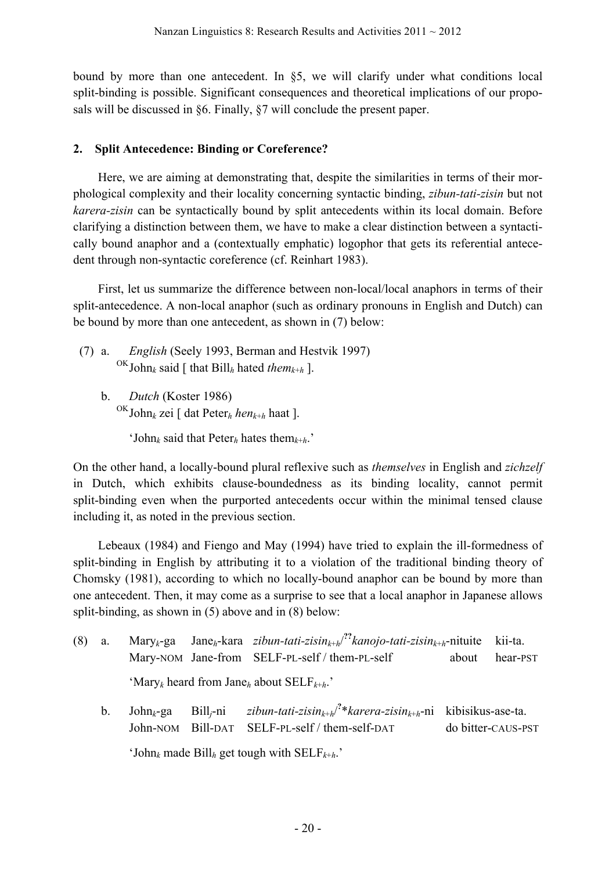bound by more than one antecedent. In §5, we will clarify under what conditions local split-binding is possible. Significant consequences and theoretical implications of our proposals will be discussed in §6. Finally, §7 will conclude the present paper.

# **2. Split Antecedence: Binding or Coreference?**

Here, we are aiming at demonstrating that, despite the similarities in terms of their morphological complexity and their locality concerning syntactic binding, *zibun-tati-zisin* but not *karera-zisin* can be syntactically bound by split antecedents within its local domain. Before clarifying a distinction between them, we have to make a clear distinction between a syntactically bound anaphor and a (contextually emphatic) logophor that gets its referential antecedent through non-syntactic coreference (cf. Reinhart 1983).

First, let us summarize the difference between non-local/local anaphors in terms of their split-antecedence. A non-local anaphor (such as ordinary pronouns in English and Dutch) can be bound by more than one antecedent, as shown in (7) below:

- (7) a. *English* (Seely 1993, Berman and Hestvik 1997) <sup>OK</sup>John<sub>k</sub> said [ that Bill<sub>h</sub> hated *them<sub>k+h</sub>* ].
	- b. *Dutch* (Koster 1986) OKJohn*<sup>k</sup>* zei [ dat Peter*<sup>h</sup> henk*+*<sup>h</sup>* haat ].

'John<sub>k</sub> said that Peter<sub>h</sub> hates them<sub> $k+h$ </sub>.'

On the other hand, a locally-bound plural reflexive such as *themselves* in English and *zichzelf*  in Dutch, which exhibits clause-boundedness as its binding locality, cannot permit split-binding even when the purported antecedents occur within the minimal tensed clause including it, as noted in the previous section.

Lebeaux (1984) and Fiengo and May (1994) have tried to explain the ill-formedness of split-binding in English by attributing it to a violation of the traditional binding theory of Chomsky (1981), according to which no locally-bound anaphor can be bound by more than one antecedent. Then, it may come as a surprise to see that a local anaphor in Japanese allows split-binding, as shown in (5) above and in (8) below:

- (8) a. Mary*k*-ga Jane*h*-kara *zibun-tati-zisink*+*h*/ **??***kanojo-tati-zisink*+*h*-nituite kii-ta. Mary-NOM Jane-from SELF-PL-self / them-PL-self about hear-PST 'Mary*<sup>k</sup>* heard from Jane*<sup>h</sup>* about SELF*k*+*h*.'
	- b. John*k*-ga Bill*j*-ni *zibun-tati-zisink*+*h*/ **?** \**karera-zisink*+*h*-ni kibisikus-ase-ta. John-NOM Bill-DAT SELF-PL-self / them-self-DAT do bitter-CAUS-PST 'John*<sup>k</sup>* made Bill*<sup>h</sup>* get tough with SELF*k*+*h*.'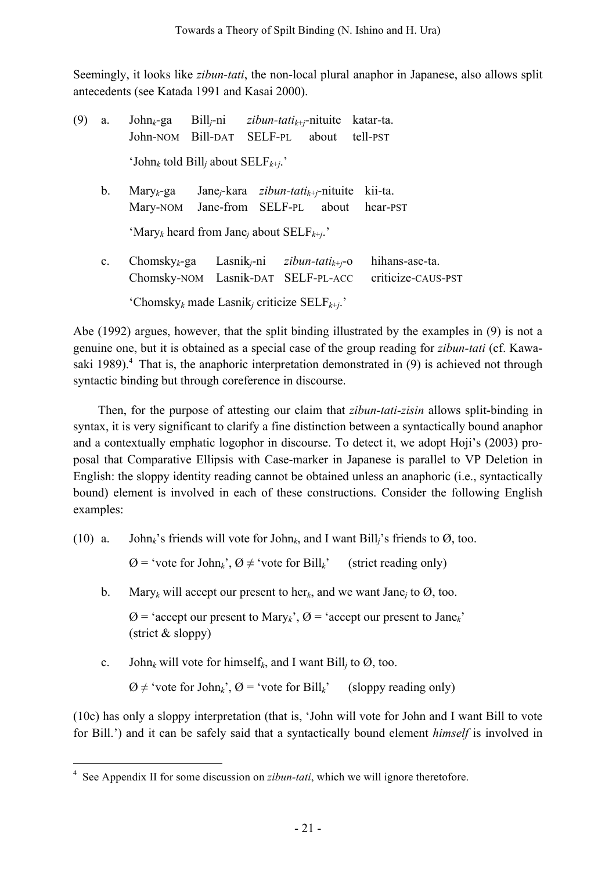Seemingly, it looks like *zibun-tati*, the non-local plural anaphor in Japanese, also allows split antecedents (see Katada 1991 and Kasai 2000).

| (9) | a.             | $John_k$ -ga                                                                 |  | $\text{Bill}_i$ -ni <i>zibun-tati<sub>k+i</sub></i> -nituite katar-ta. |                    |
|-----|----------------|------------------------------------------------------------------------------|--|------------------------------------------------------------------------|--------------------|
|     |                | John-NOM Bill-DAT SELF-PL                                                    |  |                                                                        | about tell-PST     |
|     |                | 'John <sub>k</sub> told Bill <sub>i</sub> about SELF <sub>k+j</sub> .'       |  |                                                                        |                    |
|     | $b_{\cdot}$    | $\text{Mary}_k$ -ga                                                          |  | Jane <sub>i</sub> -kara zibun-tati <sub>k+i</sub> -nituite kii-ta.     |                    |
|     |                | Mary-NOM Jane-from SELF-PL about hear-PST                                    |  |                                                                        |                    |
|     |                | 'Mary <sub>k</sub> heard from Jane <sub>i</sub> about $\text{SELF}_{k+i}$ .' |  |                                                                        |                    |
|     | $\mathbf{c}$ . | Chomsky <sub><math>k</math></sub> -ga                                        |  | Lasnik <sub>i</sub> -ni zibun-tati <sub>k+i</sub> -o                   | hihans-ase-ta.     |
|     |                | Chomsky-NOM Lasnik-DAT SELF-PL-ACC                                           |  |                                                                        | criticize-CAUS-PST |

'Chomsky*<sup>k</sup>* made Lasnik*<sup>j</sup>* criticize SELF*k*+*j*.'

Abe (1992) argues, however, that the split binding illustrated by the examples in (9) is not a genuine one, but it is obtained as a special case of the group reading for *zibun-tati* (cf. Kawasaki 1989).<sup>4</sup> That is, the anaphoric interpretation demonstrated in  $(9)$  is achieved not through syntactic binding but through coreference in discourse.

Then, for the purpose of attesting our claim that *zibun-tati-zisin* allows split-binding in syntax, it is very significant to clarify a fine distinction between a syntactically bound anaphor and a contextually emphatic logophor in discourse. To detect it, we adopt Hoji's (2003) proposal that Comparative Ellipsis with Case-marker in Japanese is parallel to VP Deletion in English: the sloppy identity reading cannot be obtained unless an anaphoric (i.e., syntactically bound) element is involved in each of these constructions. Consider the following English examples:

(10) a. John<sub>k</sub>'s friends will vote for John<sub>k</sub>, and I want Bill<sub>i</sub>'s friends to  $\emptyset$ , too.

 $\varnothing$  = 'vote for John<sub>k</sub>',  $\varnothing$   $\neq$  'vote for Bill<sub>k</sub>' (strict reading only)

b. Mary*k* will accept our present to her*k*, and we want Jane*j* to Ø, too.

 $\varnothing$  = 'accept our present to Mary<sub>k</sub>',  $\varnothing$  = 'accept our present to Jane<sub>k</sub>' (strict & sloppy)

c. John<sub>k</sub> will vote for himself<sub>k</sub>, and I want Bill<sub>i</sub> to  $\emptyset$ , too.

 $\varnothing \neq$  'vote for John<sub>k</sub>',  $\varnothing$  = 'vote for Bill<sub>k</sub>' (sloppy reading only)

(10c) has only a sloppy interpretation (that is, 'John will vote for John and I want Bill to vote for Bill.') and it can be safely said that a syntactically bound element *himself* is involved in

 <sup>4</sup> See Appendix II for some discussion on *zibun-tati*, which we will ignore theretofore.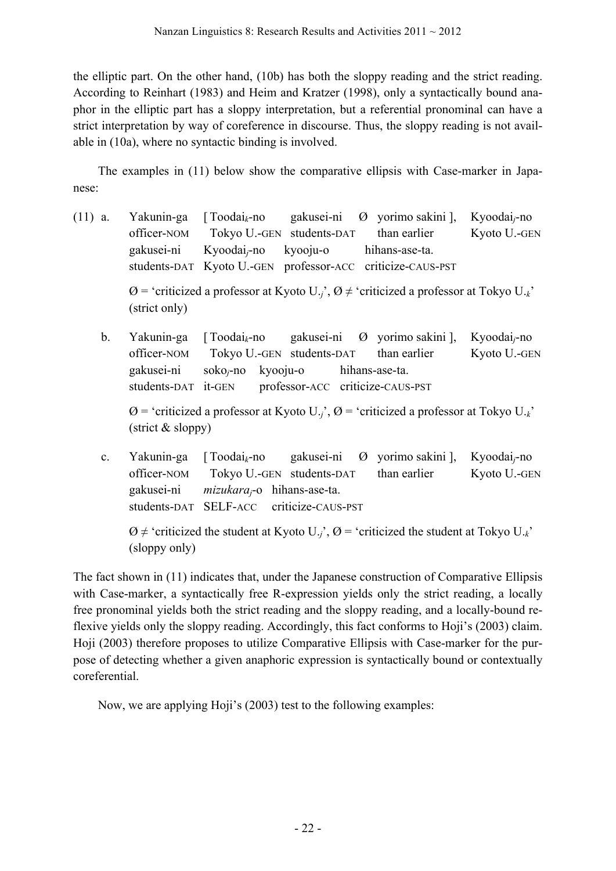the elliptic part. On the other hand, (10b) has both the sloppy reading and the strict reading. According to Reinhart (1983) and Heim and Kratzer (1998), only a syntactically bound anaphor in the elliptic part has a sloppy interpretation, but a referential pronominal can have a strict interpretation by way of coreference in discourse. Thus, the sloppy reading is not available in (10a), where no syntactic binding is involved.

The examples in (11) below show the comparative ellipsis with Case-marker in Japanese:

- (11) a. Yakunin-ga [ Toodai*k*-no gakusei-ni Ø yorimo sakini ], Kyoodai*j*-no officer-NOM Tokyo U.-GEN students-DAT than earlier Kyoto U.-GEN gakusei-ni Kyoodai*j*-no kyooju-o hihans-ase-ta. students-DAT Kyoto U.-GEN professor-ACC criticize-CAUS-PST  $\emptyset$  = 'criticized a professor at Kyoto U<sub>*i*</sub>',  $\emptyset \neq$  'criticized a professor at Tokyo U<sub>*k*</sub>' (strict only)
	- b. Yakunin-ga [ Toodai*k*-no gakusei-ni Ø yorimo sakini ], Kyoodai*j*-no officer-NOM Tokyo U.-GEN students-DAT than earlier Kyoto U.-GEN gakusei-ni soko*j*-no kyooju-o hihans-ase-ta. students-DAT it-GEN professor-ACC criticize-CAUS-PST

 $\emptyset$  = 'criticized a professor at Kyoto U<sub>*i*</sub>',  $\emptyset$  = 'criticized a professor at Tokyo U<sub>*k*</sub>' (strict & sloppy)

c. Yakunin-ga [ Toodai*k*-no gakusei-ni Ø yorimo sakini ], Kyoodai*j*-no officer-NOM Tokyo U.-GEN students-DAT than earlier Kyoto U.-GEN gakusei-ni *mizukaraj*-o hihans-ase-ta. students-DAT SELF-ACC criticize-CAUS-PST

 $\emptyset \neq$  'criticized the student at Kyoto U<sub>*i*</sub>',  $\emptyset$  = 'criticized the student at Tokyo U<sub>*i*</sub>' (sloppy only)

The fact shown in (11) indicates that, under the Japanese construction of Comparative Ellipsis with Case-marker, a syntactically free R-expression yields only the strict reading, a locally free pronominal yields both the strict reading and the sloppy reading, and a locally-bound reflexive yields only the sloppy reading. Accordingly, this fact conforms to Hoji's (2003) claim. Hoji (2003) therefore proposes to utilize Comparative Ellipsis with Case-marker for the purpose of detecting whether a given anaphoric expression is syntactically bound or contextually coreferential.

Now, we are applying Hoji's (2003) test to the following examples: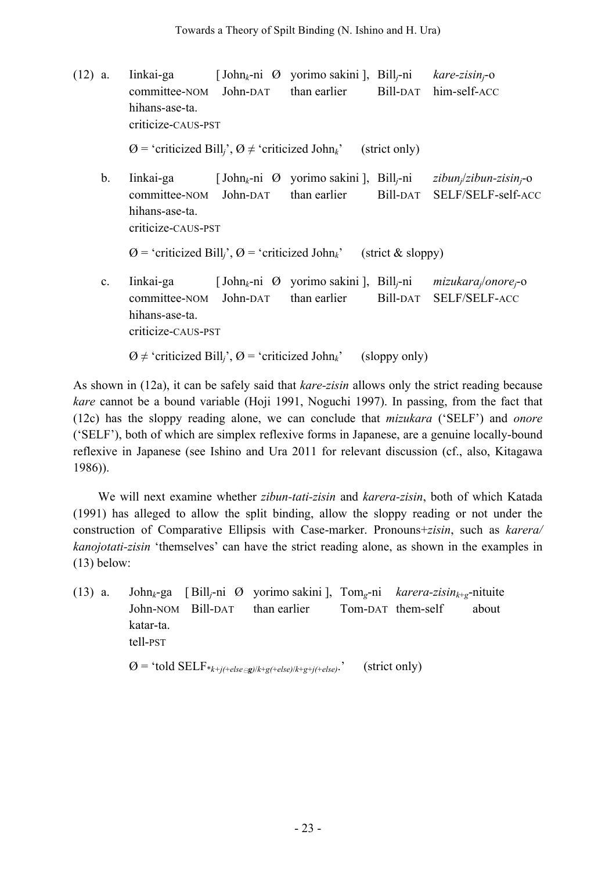(12) a. Iinkai-ga [John*k*-ni Ø yorimo sakini ], Bill*j*-ni *kare-zisinj*-o committee-NOM John-DAT than earlier Bill-DAT him-self-ACC hihans-ase-ta. criticize-CAUS-PST  $\varnothing$  = 'criticized Bill<sub>i</sub>',  $\varnothing$   $\neq$  'criticized John<sub>k</sub>' (strict only) b. Iinkai-ga [John*k*-ni Ø yorimo sakini ], Bill*j*-ni *zibunj*/*zibun-zisinj*-o committee-NOM John-DAT than earlier Bill-DAT SELF/SELF-self-ACC hihans-ase-ta. criticize-CAUS-PST  $\emptyset$  = 'criticized Bill<sub>i</sub>',  $\emptyset$  = 'criticized John<sub>k</sub>' (strict & sloppy) c. Iinkai-ga [John*k*-ni Ø yorimo sakini ], Bill*j*-ni *mizukaraj*/*onorej*-o committee-NOM John-DAT than earlier Bill-DAT SELF/SELF-ACC hihans-ase-ta. criticize-CAUS-PST  $\emptyset \neq$  'criticized Bill<sub>i</sub>',  $\emptyset$  = 'criticized John<sub>k</sub>' (sloppy only)

As shown in (12a), it can be safely said that *kare-zisin* allows only the strict reading because *kare* cannot be a bound variable (Hoji 1991, Noguchi 1997). In passing, from the fact that (12c) has the sloppy reading alone, we can conclude that *mizukara* ('SELF') and *onore* ('SELF'), both of which are simplex reflexive forms in Japanese, are a genuine locally-bound reflexive in Japanese (see Ishino and Ura 2011 for relevant discussion (cf., also, Kitagawa 1986)).

We will next examine whether *zibun-tati-zisin* and *karera-zisin*, both of which Katada (1991) has alleged to allow the split binding, allow the sloppy reading or not under the construction of Comparative Ellipsis with Case-marker. Pronouns+*zisin*, such as *karera/ kanojotati-zisin* 'themselves' can have the strict reading alone, as shown in the examples in (13) below:

(13) a. John*k*-ga [ Bill*j*-ni Ø yorimo sakini ], Tom*g*-ni *karera-zisink*+*g*-nituite John-NOM Bill-DAT than earlier Tom-DAT them-self about katar-ta. tell-PST  $\emptyset$  = 'told SELF\* $_{k+j(+else)}$   $\in$  g/ $/k+g(+else)$   $\in$   $k+g^+(+else)$ .' (strict only)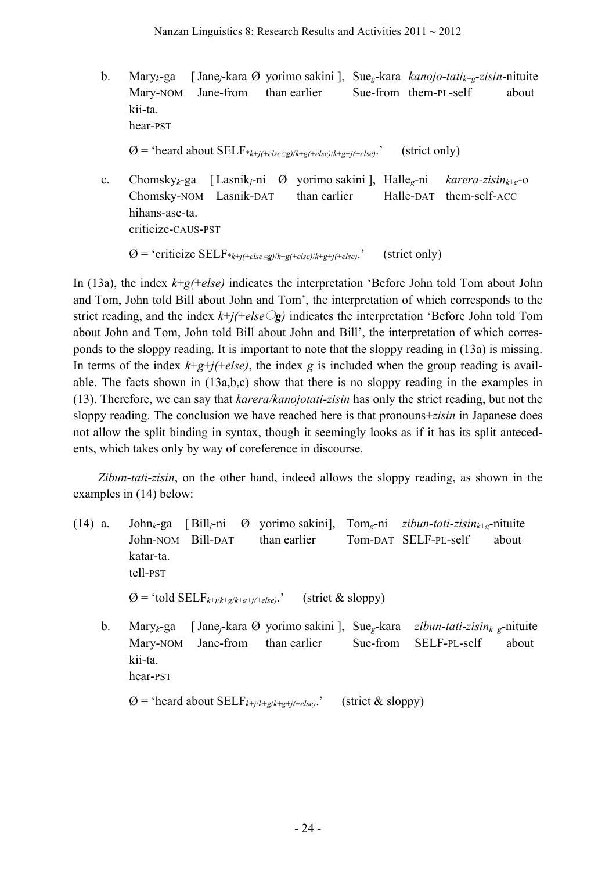b. Mary*k*-ga [Jane*j*-kara Ø yorimo sakini ], Sue*g*-kara *kanojo-tatik*+*g-zisin*-nituite Mary-NOM Jane-from than earlier Sue-from them-PL-self about kii-ta. hear-PST

 $\emptyset$  = 'heard about SELF<sub>\**k*+*j*(+*else*⊝ $\emptyset$ )/*k*+ $\emptyset$ (+*else*).' (strict only)</sub>

c. Chomsky*k*-ga [ Lasnik*j*-ni Ø yorimo sakini ], Halle*g*-ni *karera-zisink*+*g*-o Chomsky-NOM Lasnik-DAT than earlier Halle-DAT them-self-ACC hihans-ase-ta. criticize-CAUS-PST

 $\emptyset$  = 'criticize SELF<sub>\**k+j(+else* $\in$ g)/*k+g(+else*)/*k+g+j(+else*).' (strict only)</sub>

In (13a), the index  $k+g(+else)$  indicates the interpretation 'Before John told Tom about John and Tom, John told Bill about John and Tom', the interpretation of which corresponds to the strict reading, and the index  $k+j(+else\Theta g)$  indicates the interpretation 'Before John told Tom about John and Tom, John told Bill about John and Bill', the interpretation of which corresponds to the sloppy reading. It is important to note that the sloppy reading in (13a) is missing. In terms of the index  $k+g+j(+else)$ , the index *g* is included when the group reading is available. The facts shown in (13a,b,c) show that there is no sloppy reading in the examples in (13). Therefore, we can say that *karera/kanojotati-zisin* has only the strict reading, but not the sloppy reading. The conclusion we have reached here is that pronouns+*zisin* in Japanese does not allow the split binding in syntax, though it seemingly looks as if it has its split antecedents, which takes only by way of coreference in discourse.

*Zibun-tati-zisin*, on the other hand, indeed allows the sloppy reading, as shown in the examples in (14) below:

- (14) a. John*k*-ga [ Bill*j*-ni Ø yorimo sakini], Tom*g*-ni *zibun-tati-zisink*+*g*-nituite John-NOM Bill-DAT than earlier Tom-DAT SELF-PL-self about katar-ta. tell-PST  $\emptyset$  = 'told SELF<sub>k+j/k+g/k+g+j(+else)</sub>.' (strict & sloppy)
	- b. Mary*k*-ga [Jane*j*-kara Ø yorimo sakini ], Sue*g*-kara *zibun-tati-zisink*+*g*-nituite Mary-NOM Jane-from than earlier Sue-from SELF-PL-self about kii-ta. hear-PST

 $\emptyset$  = 'heard about SELF<sub>*k*+*i*/*k*+*g*/*k*+*g*+*j*(+*else*).' (strict & sloppy)</sub>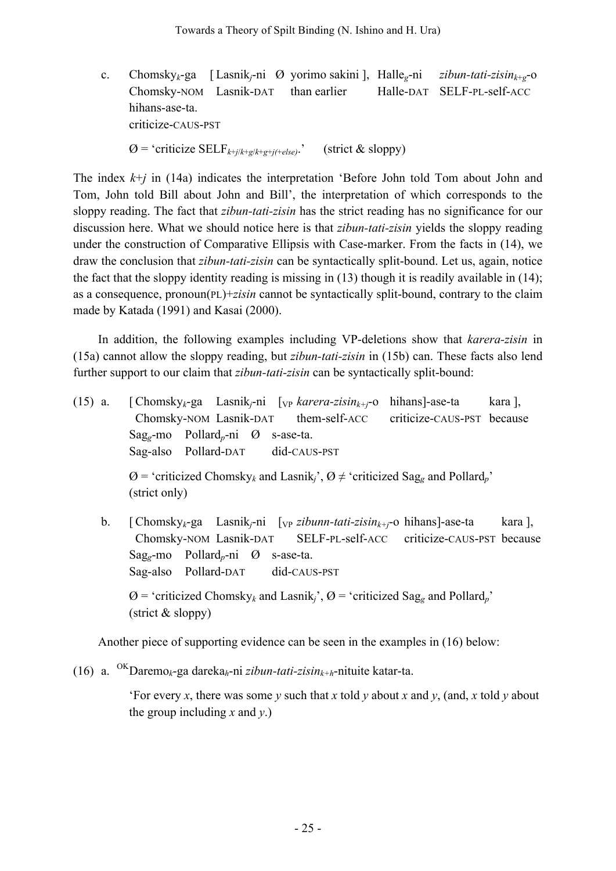c. Chomsky*k*-ga [ Lasnik*j*-ni Ø yorimo sakini ], Halle*g*-ni *zibun-tati-zisink*+*g*-o Chomsky-NOM Lasnik-DAT than earlier Halle-DAT SELF-PL-self-ACC hihans-ase-ta. criticize-CAUS-PST

 $\emptyset$  = 'criticize SELF<sub>*k*+*i*/*k*+*g*/*k*+*g*+*j*(+*else*).' (strict & sloppy)</sub>

The index *k*+*j* in (14a) indicates the interpretation 'Before John told Tom about John and Tom, John told Bill about John and Bill', the interpretation of which corresponds to the sloppy reading. The fact that *zibun-tati-zisin* has the strict reading has no significance for our discussion here. What we should notice here is that *zibun-tati-zisin* yields the sloppy reading under the construction of Comparative Ellipsis with Case-marker. From the facts in (14), we draw the conclusion that *zibun-tati-zisin* can be syntactically split-bound. Let us, again, notice the fact that the sloppy identity reading is missing in (13) though it is readily available in (14); as a consequence, pronoun(PL)+*zisin* cannot be syntactically split-bound, contrary to the claim made by Katada (1991) and Kasai (2000).

In addition, the following examples including VP-deletions show that *karera-zisin* in (15a) cannot allow the sloppy reading, but *zibun-tati-zisin* in (15b) can. These facts also lend further support to our claim that *zibun-tati-zisin* can be syntactically split-bound:

(15) a.  $[Chomsky_k-ga \text{Lasnik}_{i} - ni \text{[v}_k \text{)} \text{A} \text{a} \text{]}$  [*v<sub>P</sub> karera-zisin<sub>k+i</sub>-o* hihans]-ase-ta kara ], Chomsky-NOM Lasnik-DAT them-self-ACC criticize-CAUS-PST because Sag*g*-mo Pollard*p*-ni Ø s-ase-ta. Sag-also Pollard-DAT did-CAUS-PST  $\varnothing$  = 'criticized Chomsky<sub>k</sub> and Lasnik<sub>i</sub>',  $\varnothing$   $\neq$  'criticized Sag<sub>e</sub> and Pollard<sub>*n*</sub>' (strict only) b. [ Chomsky<sub>k</sub>-ga Lasnik<sub>i</sub>-ni [<sub>VP</sub> *zibunn-tati-zisin*<sub>k+i</sub>-o hihans]-ase-ta kara ], Chomsky-NOM Lasnik-DAT SELF-PL-self-ACC criticize-CAUS-PST because Sag*g*-mo Pollard*p*-ni Ø s-ase-ta. Sag-also Pollard-DAT did-CAUS-PST  $\mathcal{O}$  = 'criticized Chomsky<sub>k</sub> and Lasnik<sub>i</sub>',  $\mathcal{O}$  = 'criticized Sag<sub>g</sub> and Pollard<sub>*p*</sub>'

Another piece of supporting evidence can be seen in the examples in (16) below:

(16) a. OKDaremo*k*-ga dareka*h*-ni *zibun-tati-zisink+h*-nituite katar-ta.

(strict & sloppy)

'For every *x*, there was some *y* such that *x* told *y* about *x* and *y*, (and, *x* told *y* about the group including *x* and *y*.)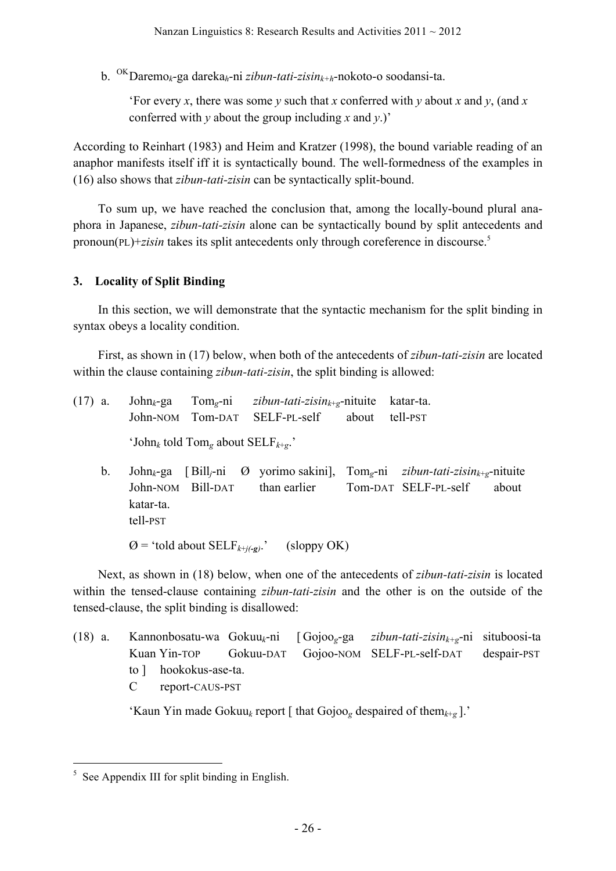b. OKDaremo*k*-ga dareka*h*-ni *zibun-tati-zisink+h*-nokoto-o soodansi-ta.

'For every *x*, there was some *y* such that *x* conferred with *y* about *x* and *y*, (and *x*) conferred with *y* about the group including *x* and *y*.)'

According to Reinhart (1983) and Heim and Kratzer (1998), the bound variable reading of an anaphor manifests itself iff it is syntactically bound. The well-formedness of the examples in (16) also shows that *zibun-tati-zisin* can be syntactically split-bound.

To sum up, we have reached the conclusion that, among the locally-bound plural anaphora in Japanese, *zibun-tati-zisin* alone can be syntactically bound by split antecedents and pronoun(PL)+zisin takes its split antecedents only through coreference in discourse.<sup>5</sup>

# **3. Locality of Split Binding**

In this section, we will demonstrate that the syntactic mechanism for the split binding in syntax obeys a locality condition.

First, as shown in (17) below, when both of the antecedents of *zibun-tati-zisin* are located within the clause containing *zibun-tati-zisin*, the split binding is allowed:

|  |                                                                       | (17) a. John <sub>k</sub> -ga Tom <sub>e</sub> -ni zibun-tati-zisin <sub>k+e</sub> -nituite katar-ta. |  |  |
|--|-----------------------------------------------------------------------|-------------------------------------------------------------------------------------------------------|--|--|
|  |                                                                       | John-NOM Tom-DAT SELF-PL-self about tell-PST                                                          |  |  |
|  | 'John <sub>k</sub> told Tom <sub>g</sub> about $\text{SELF}_{k+g}$ .' |                                                                                                       |  |  |

b. John*k*-ga [ Bill*j*-ni Ø yorimo sakini], Tom*g*-ni *zibun-tati-zisink*+*g*-nituite John-NOM Bill-DAT than earlier Tom-DAT SELF-PL-self about katar-ta. tell-PST

 $\emptyset$  = 'told about SELF<sub>k+j(-g)</sub>' (sloppy OK)

Next, as shown in (18) below, when one of the antecedents of *zibun-tati-zisin* is located within the tensed-clause containing *zibun-tati-zisin* and the other is on the outside of the tensed-clause, the split binding is disallowed:

- (18) a. Kannonbosatu-wa Gokuu*k*-ni [ Gojoo*g*-ga *zibun-tati-zisink+g*-ni situboosi-ta Kuan Yin-TOP Gokuu-DAT Gojoo-NOM SELF-PL-self-DAT despair-PST to ] hookokus-ase-ta.
	- C report-CAUS-PST

'Kaun Yin made Gokuu<sub>k</sub> report [ that Gojoo<sub>g</sub> despaired of them<sub> $k+g$ </sub>].'

 $<sup>5</sup>$  See Appendix III for split binding in English.</sup>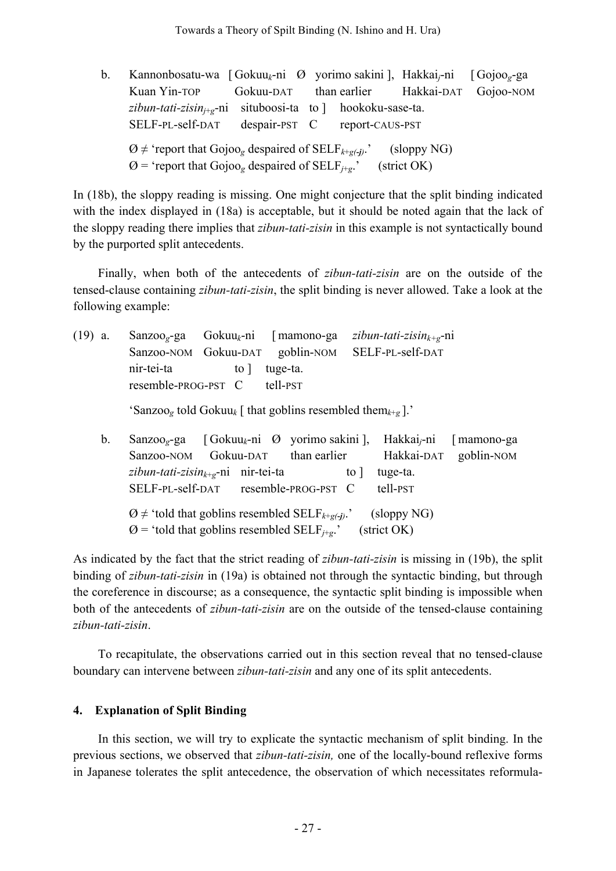b. Kannonbosatu-wa [ Gokuu*k*-ni Ø yorimo sakini ], Hakkai*j*-ni [ Gojoo*g*-ga Kuan Yin-TOP Gokuu-DAT than earlier Hakkai-DAT Gojoo-NOM *zibun-tati-zisinj*+*g*-ni situboosi-ta to ] hookoku-sase-ta. SELF-PL-self-DAT despair-PST C report-CAUS-PST  $\emptyset \neq$  'report that Gojoo<sub>g</sub> despaired of SELF<sub>k+g(-j)</sub>.' (sloppy NG)  $\varnothing$  = 'report that Gojoo<sub>g</sub> despaired of SELF<sub>i+g</sub>.' (strict OK)

In (18b), the sloppy reading is missing. One might conjecture that the split binding indicated with the index displayed in (18a) is acceptable, but it should be noted again that the lack of the sloppy reading there implies that *zibun-tati-zisin* in this example is not syntactically bound by the purported split antecedents.

Finally, when both of the antecedents of *zibun-tati-zisin* are on the outside of the tensed-clause containing *zibun-tati-zisin*, the split binding is never allowed. Take a look at the following example:

| $(19)$ a. |         |                                                                                                            |      | $Sanzoog$ -ga Gokuu <sub>k</sub> -ni [mamono-ga                         |             | zibun-tati-zisin <sub>k+g</sub> -ni |                                           |
|-----------|---------|------------------------------------------------------------------------------------------------------------|------|-------------------------------------------------------------------------|-------------|-------------------------------------|-------------------------------------------|
|           |         |                                                                                                            |      | Sanzoo-NOM Gokuu-DAT goblin-NOM SELF-PL-self-DAT                        |             |                                     |                                           |
|           |         | nir-tei-ta                                                                                                 | to 1 | tuge-ta.                                                                |             |                                     |                                           |
|           |         | resemble-PROG-PST C                                                                                        |      | tell-PST                                                                |             |                                     |                                           |
|           |         | 'Sanzoo <sub>g</sub> told Gokuu <sub>k</sub> [ that goblins resembled them <sub><math>k+g</math></sub> ].' |      |                                                                         |             |                                     |                                           |
|           | $b_{-}$ |                                                                                                            |      | $\text{Sanzoo}_g$ -ga [Gokuu <sub>k</sub> -ni Ø yorimo sakini],         |             |                                     | Hakkai <sub><i>i</i></sub> -ni [mamono-ga |
|           |         |                                                                                                            |      | Sanzoo-NOM Gokuu-DAT than earlier                                       |             |                                     | Hakkai-DAT goblin-NOM                     |
|           |         | <i>zibun-tati-zisin</i> <sub><math>k+g</math></sub> -ni nir-tei-ta                                         |      |                                                                         | to $\vert$  | tuge-ta.                            |                                           |
|           |         |                                                                                                            |      | SELF-PL-self-DAT resemble-PROG-PST C                                    |             | tell-PST                            |                                           |
|           |         |                                                                                                            |      | $\emptyset \neq$ 'told that goblins resembled SELF <sub>k+g(-j)</sub> . |             | (sloppy NG)                         |                                           |
|           |         |                                                                                                            |      | $\emptyset$ = 'told that goblins resembled SELF <sub>i+g</sub> .'       | (strict OK) |                                     |                                           |

As indicated by the fact that the strict reading of *zibun-tati-zisin* is missing in (19b), the split binding of *zibun-tati-zisin* in (19a) is obtained not through the syntactic binding, but through the coreference in discourse; as a consequence, the syntactic split binding is impossible when both of the antecedents of *zibun-tati-zisin* are on the outside of the tensed-clause containing *zibun-tati-zisin*.

To recapitulate, the observations carried out in this section reveal that no tensed-clause boundary can intervene between *zibun-tati-zisin* and any one of its split antecedents.

# **4. Explanation of Split Binding**

In this section, we will try to explicate the syntactic mechanism of split binding. In the previous sections, we observed that *zibun-tati-zisin,* one of the locally-bound reflexive forms in Japanese tolerates the split antecedence, the observation of which necessitates reformula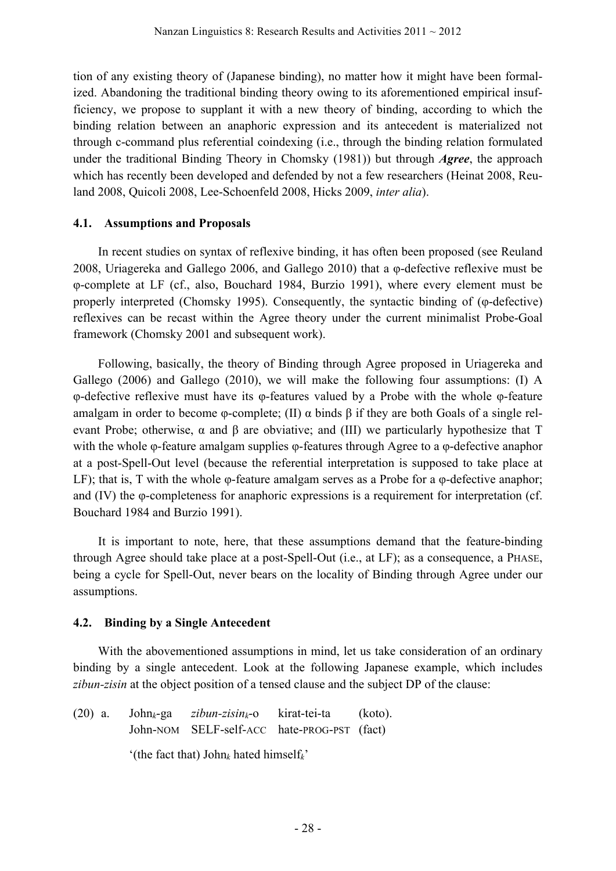tion of any existing theory of (Japanese binding), no matter how it might have been formalized. Abandoning the traditional binding theory owing to its aforementioned empirical insufficiency, we propose to supplant it with a new theory of binding, according to which the binding relation between an anaphoric expression and its antecedent is materialized not through c-command plus referential coindexing (i.e., through the binding relation formulated under the traditional Binding Theory in Chomsky (1981)) but through *Agree*, the approach which has recently been developed and defended by not a few researchers (Heinat 2008, Reuland 2008, Quicoli 2008, Lee-Schoenfeld 2008, Hicks 2009, *inter alia*).

## **4.1. Assumptions and Proposals**

In recent studies on syntax of reflexive binding, it has often been proposed (see Reuland 2008, Uriagereka and Gallego 2006, and Gallego 2010) that a φ-defective reflexive must be φ-complete at LF (cf., also, Bouchard 1984, Burzio 1991), where every element must be properly interpreted (Chomsky 1995). Consequently, the syntactic binding of (φ-defective) reflexives can be recast within the Agree theory under the current minimalist Probe-Goal framework (Chomsky 2001 and subsequent work).

Following, basically, the theory of Binding through Agree proposed in Uriagereka and Gallego (2006) and Gallego (2010), we will make the following four assumptions: (I) A φ-defective reflexive must have its φ-features valued by a Probe with the whole φ-feature amalgam in order to become  $\varphi$ -complete; (II)  $\alpha$  binds  $\beta$  if they are both Goals of a single relevant Probe; otherwise,  $\alpha$  and  $\beta$  are obviative; and (III) we particularly hypothesize that T with the whole φ-feature amalgam supplies φ-features through Agree to a φ-defective anaphor at a post-Spell-Out level (because the referential interpretation is supposed to take place at LF); that is, T with the whole φ-feature amalgam serves as a Probe for a φ-defective anaphor; and (IV) the φ-completeness for anaphoric expressions is a requirement for interpretation (cf. Bouchard 1984 and Burzio 1991).

It is important to note, here, that these assumptions demand that the feature-binding through Agree should take place at a post-Spell-Out (i.e., at LF); as a consequence, a PHASE, being a cycle for Spell-Out, never bears on the locality of Binding through Agree under our assumptions.

# **4.2. Binding by a Single Antecedent**

With the abovementioned assumptions in mind, let us take consideration of an ordinary binding by a single antecedent. Look at the following Japanese example, which includes *zibun-zisin* at the object position of a tensed clause and the subject DP of the clause:

| $(20)$ a. | $John_k$ -ga <i>zibun-zisin</i> <sub>k</sub> -o kirat-tei-ta | (koto). |
|-----------|--------------------------------------------------------------|---------|
|           | John-NOM SELF-self-ACC hate-PROG-PST (fact)                  |         |

'(the fact that) John*<sup>k</sup>* hated himself*k*'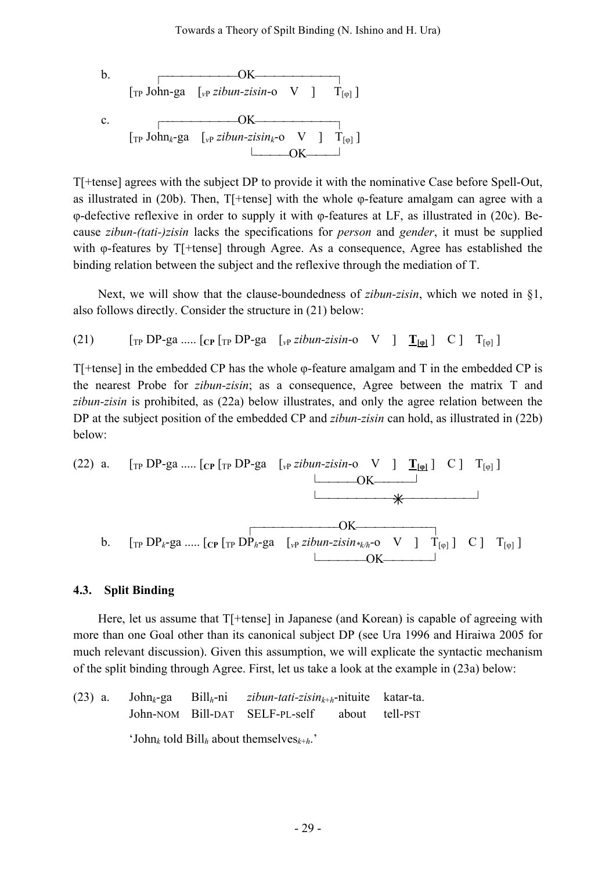b.  
\n
$$
OK
$$
\n
$$
[T_{\text{P}} \text{ John-ga } [\,_{\text{VP}} \text{ zibun-zisin-o } V \, ] \, T_{[\varphi]} ]
$$
\nc.  
\n
$$
OK
$$
\n
$$
[T_{\text{P}} \text{ John}_{k}\text{-ga } [\,_{\text{VP}} \text{ zibun-zisin}_{k}\text{-o } V \, ] \, T_{[\varphi]} ]
$$
\n
$$
OK
$$

T[+tense] agrees with the subject DP to provide it with the nominative Case before Spell-Out, as illustrated in (20b). Then, T[+tense] with the whole φ-feature amalgam can agree with a φ-defective reflexive in order to supply it with φ-features at LF, as illustrated in (20c). Because *zibun-(tati-)zisin* lacks the specifications for *person* and *gender*, it must be supplied with φ-features by T[+tense] through Agree. As a consequence, Agree has established the binding relation between the subject and the reflexive through the mediation of T.

Next, we will show that the clause-boundedness of *zibun-zisin*, which we noted in §1, also follows directly. Consider the structure in (21) below:

(21) 
$$
[\text{TP DP-ga} \dots] [\text{CP} [\text{TP DP-ga} \quad [\text{VP} \text{zibun-zisin-o} \quad V \quad ] \quad \underline{\mathbf{T}_{[q]}} ] \quad C \quad T_{[q]} ]
$$

T[ $+$ tense] in the embedded CP has the whole  $\varphi$ -feature amalgam and T in the embedded CP is the nearest Probe for *zibun-zisin*; as a consequence, Agree between the matrix T and *zibun-zisin* is prohibited, as (22a) below illustrates, and only the agree relation between the DP at the subject position of the embedded CP and *zibun-zisin* can hold, as illustrated in (22b) below:

(22) a. 
$$
\left[\text{TP DP-ga } \dots \text{[CP [TP DP-ga } \left[\text{VP } zibun-zisin-0 \text{ V }\right] \right] \underbrace{\mathbf{L}_{[\varphi]}} \text{OK}\right]
$$
  
b.  $\left[\text{TP DP}_k\text{-ga } \dots \text{[CP [TP DP}_h\text{-ga } \left[\text{VP } zibun-zisin*\mathbb{M}_h\text{-o } \text{ V }\right] \right] \left[\text{C}\right] \left[\text{T}_{[\varphi]}\right]$   
OK

#### **4.3. Split Binding**

Here, let us assume that T<sup> $[+tense]$ </sup> in Japanese (and Korean) is capable of agreeing with more than one Goal other than its canonical subject DP (see Ura 1996 and Hiraiwa 2005 for much relevant discussion). Given this assumption, we will explicate the syntactic mechanism of the split binding through Agree. First, let us take a look at the example in (23a) below:

(23) a. John*k*-ga Bill*h*-ni *zibun-tati-zisink*+*h*-nituite katar-ta. John-NOM Bill-DAT SELF-PL-self about tell-PST

'John*<sup>k</sup>* told Bill*<sup>h</sup>* about themselves*k*+*h*.'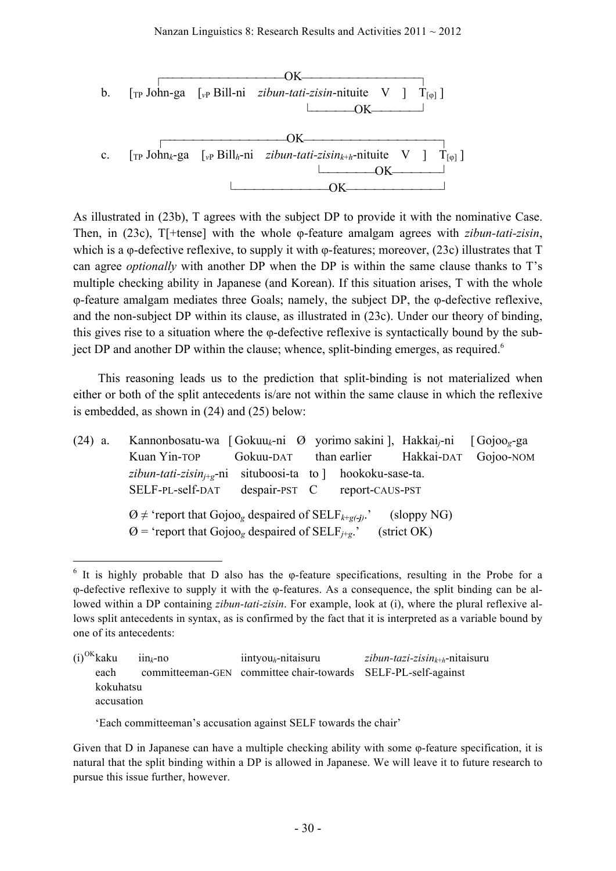

As illustrated in (23b), T agrees with the subject DP to provide it with the nominative Case. Then, in (23c), T[+tense] with the whole φ-feature amalgam agrees with *zibun-tati-zisin*, which is a φ-defective reflexive, to supply it with φ-features; moreover, (23c) illustrates that T can agree *optionally* with another DP when the DP is within the same clause thanks to T's multiple checking ability in Japanese (and Korean). If this situation arises, T with the whole φ-feature amalgam mediates three Goals; namely, the subject DP, the φ-defective reflexive, and the non-subject DP within its clause, as illustrated in (23c). Under our theory of binding, this gives rise to a situation where the φ-defective reflexive is syntactically bound by the subject DP and another DP within the clause; whence, split-binding emerges, as required.<sup>6</sup>

This reasoning leads us to the prediction that split-binding is not materialized when either or both of the split antecedents is/are not within the same clause in which the reflexive is embedded, as shown in (24) and (25) below:

| $(24)$ a. | Kannonbosatu-wa [Gokuu <sub>k</sub> -ni Ø yorimo sakini], Hakkai <sub><i>i</i></sub> -ni [Gojoo <sub>g</sub> -ga                                                               |           |                               |                                     |                                   |
|-----------|--------------------------------------------------------------------------------------------------------------------------------------------------------------------------------|-----------|-------------------------------|-------------------------------------|-----------------------------------|
|           | Kuan Yin-TOP                                                                                                                                                                   | Gokuu-DAT |                               |                                     | than earlier Hakkai-DAT Gojoo-NOM |
|           | zibun-tati-zisin <sub>i+g</sub> -ni situboosi-ta to \ hookoku-sase-ta.                                                                                                         |           |                               |                                     |                                   |
|           | SELF-PL-self-DAT                                                                                                                                                               |           | despair-PST C report-CAUS-PST |                                     |                                   |
|           | $\emptyset \neq$ 'report that Gojoo <sub>g</sub> despaired of SELF <sub>k+g(-j)</sub> .<br>$\varnothing$ = 'report that Gojoo <sub>g</sub> despaired of SELF <sub>i+g</sub> .' |           |                               | (sloppy NG)<br>$\text{(strict OK)}$ |                                   |

 $\frac{1}{6}$ <sup>6</sup> It is highly probable that D also has the  $\varphi$ -feature specifications, resulting in the Probe for a φ-defective reflexive to supply it with the φ-features. As a consequence, the split binding can be allowed within a DP containing *zibun-tati-zisin*. For example, look at (i), where the plural reflexive allows split antecedents in syntax, as is confirmed by the fact that it is interpreted as a variable bound by one of its antecedents:

 $(i)^{OK}$ kaku iin<sub>k</sub>-no iintyou<sub>h</sub>-nitaisuru *zibun-tazi-zisin*<sub>k+h</sub>-nitaisuru each committeeman-GEN committee chair-towards SELF-PL-self-against kokuhatsu accusation

<sup>&#</sup>x27;Each committeeman's accusation against SELF towards the chair'

Given that D in Japanese can have a multiple checking ability with some φ-feature specification, it is natural that the split binding within a DP is allowed in Japanese. We will leave it to future research to pursue this issue further, however.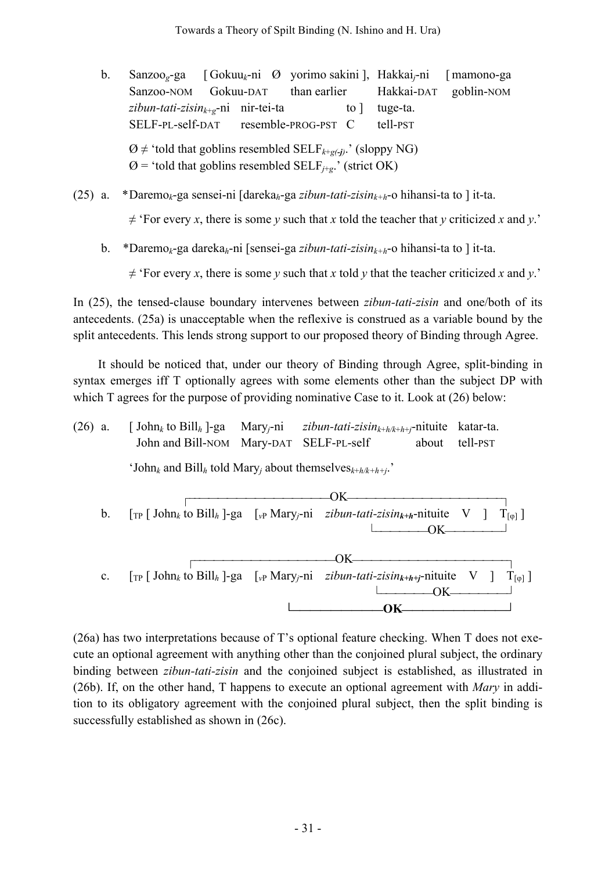- b. Sanzoo*g*-ga [ Gokuu*k*-ni Ø yorimo sakini ], Hakkai*j*-ni [ mamono-ga Sanzoo-NOM Gokuu-DAT than earlier Hakkai-DAT goblin-NOM  $zibun-tati-zisin_{k+g}$ -ni nir-tei-ta to l tuge-ta. SELF-PL-self-DAT resemble-PROG-PST C tell-PST  $\emptyset \neq$  'told that goblins resembled SELF<sub>k+g(-j)</sub>.' (sloppy NG)  $\varnothing$  = 'told that goblins resembled SELF<sub>*j*+*g*</sub>.' (strict OK)
- (25) a. \*Daremo*k*-ga sensei-ni [dareka*h*-ga *zibun-tati-zisink+h*-o hihansi-ta to ] it-ta.

 $\neq$  'For every *x*, there is some *y* such that *x* told the teacher that *y* criticized *x* and *y*.'

b. \*Daremo*k*-ga dareka*h*-ni [sensei-ga *zibun-tati-zisink+h*-o hihansi-ta to ] it-ta.

 $\neq$  'For every *x*, there is some *y* such that *x* told *y* that the teacher criticized *x* and *y*.'

In (25), the tensed-clause boundary intervenes between *zibun-tati-zisin* and one/both of its antecedents. (25a) is unacceptable when the reflexive is construed as a variable bound by the split antecedents. This lends strong support to our proposed theory of Binding through Agree.

It should be noticed that, under our theory of Binding through Agree, split-binding in syntax emerges iff T optionally agrees with some elements other than the subject DP with which T agrees for the purpose of providing nominative Case to it. Look at (26) below:

| $(26)$ a. |                | [ $John_k$ to $Bill_h$ ]-ga Mary <sub>j</sub> -ni <i>zibun-tati-zisin<sub>k+h/k+h+j</sub></i> -nituite katar-ta.<br>John and Bill-NOM Mary-DAT SELF-PL-self                                      |  | about | tell-PST                    |  |
|-----------|----------------|--------------------------------------------------------------------------------------------------------------------------------------------------------------------------------------------------|--|-------|-----------------------------|--|
|           |                | 'John <sub>k</sub> and Bill <sub>h</sub> told Mary <sub>i</sub> about themselves <sub>k+h/k+h+j</sub> .'                                                                                         |  |       |                             |  |
|           | b.             | $\lceil_{\text{TP}} \rceil$ John <sub>k</sub> to Bill <sub>h</sub> $\lceil_{\text{P}} \ln \text{Mary}_i - \text{ni} \rceil$ <i>zibun-tati-zisin</i> <sub>k+h</sub> -nituite V $\lceil$           |  | -OK   | $T_{\lceil \varphi \rceil}$ |  |
|           | $\mathbf{c}$ . | $\lceil_{\text{TP}} \rceil$ John <sub>k</sub> to Bill <sub>h</sub> $\lceil_{\text{P}}$ a $\lceil_{\text{VP}}$ Mary <sub>j</sub> -ni <i>zibun-tati-zisin</i> <sub>k+h+j</sub> -nituite V $\lceil$ |  |       | $T_{\lceil \varphi \rceil}$ |  |

(26a) has two interpretations because of T's optional feature checking. When T does not execute an optional agreement with anything other than the conjoined plural subject, the ordinary binding between *zibun-tati-zisin* and the conjoined subject is established, as illustrated in (26b). If, on the other hand, T happens to execute an optional agreement with *Mary* in addition to its obligatory agreement with the conjoined plural subject, then the split binding is successfully established as shown in (26c).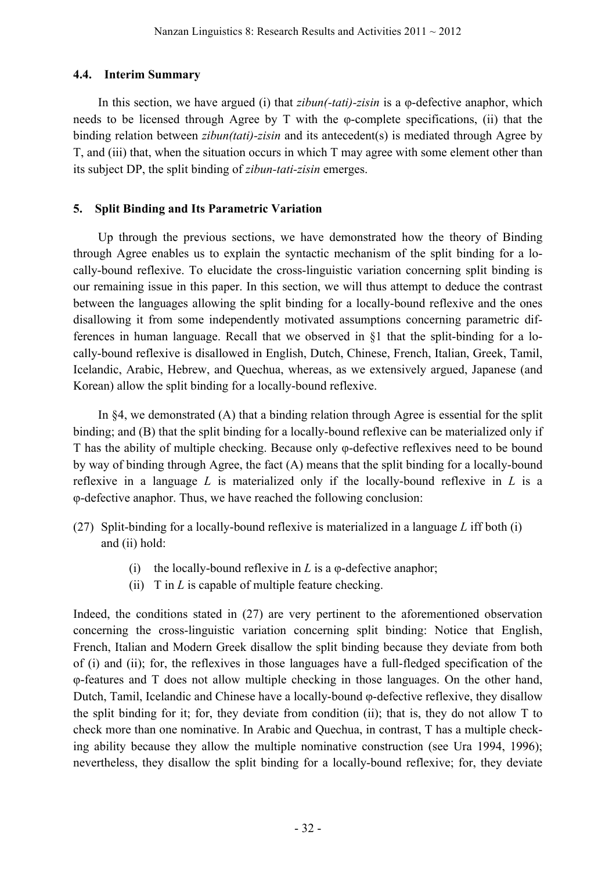## **4.4. Interim Summary**

In this section, we have argued (i) that *zibun(-tati)-zisin* is a φ-defective anaphor, which needs to be licensed through Agree by T with the φ-complete specifications, (ii) that the binding relation between *zibun(tati)-zisin* and its antecedent(s) is mediated through Agree by T, and (iii) that, when the situation occurs in which T may agree with some element other than its subject DP, the split binding of *zibun-tati-zisin* emerges.

## **5. Split Binding and Its Parametric Variation**

Up through the previous sections, we have demonstrated how the theory of Binding through Agree enables us to explain the syntactic mechanism of the split binding for a locally-bound reflexive. To elucidate the cross-linguistic variation concerning split binding is our remaining issue in this paper. In this section, we will thus attempt to deduce the contrast between the languages allowing the split binding for a locally-bound reflexive and the ones disallowing it from some independently motivated assumptions concerning parametric differences in human language. Recall that we observed in §1 that the split-binding for a locally-bound reflexive is disallowed in English, Dutch, Chinese, French, Italian, Greek, Tamil, Icelandic, Arabic, Hebrew, and Quechua, whereas, as we extensively argued, Japanese (and Korean) allow the split binding for a locally-bound reflexive.

In §4, we demonstrated (A) that a binding relation through Agree is essential for the split binding; and (B) that the split binding for a locally-bound reflexive can be materialized only if T has the ability of multiple checking. Because only φ-defective reflexives need to be bound by way of binding through Agree, the fact (A) means that the split binding for a locally-bound reflexive in a language *L* is materialized only if the locally-bound reflexive in *L* is a φ-defective anaphor. Thus, we have reached the following conclusion:

- (27) Split-binding for a locally-bound reflexive is materialized in a language *L* iff both (i) and (ii) hold:
	- (i) the locally-bound reflexive in  $L$  is a  $\varphi$ -defective anaphor;
	- (ii) T in *L* is capable of multiple feature checking.

Indeed, the conditions stated in (27) are very pertinent to the aforementioned observation concerning the cross-linguistic variation concerning split binding: Notice that English, French, Italian and Modern Greek disallow the split binding because they deviate from both of (i) and (ii); for, the reflexives in those languages have a full-fledged specification of the φ-features and T does not allow multiple checking in those languages. On the other hand, Dutch, Tamil, Icelandic and Chinese have a locally-bound φ-defective reflexive, they disallow the split binding for it; for, they deviate from condition (ii); that is, they do not allow T to check more than one nominative. In Arabic and Quechua, in contrast, T has a multiple checking ability because they allow the multiple nominative construction (see Ura 1994, 1996); nevertheless, they disallow the split binding for a locally-bound reflexive; for, they deviate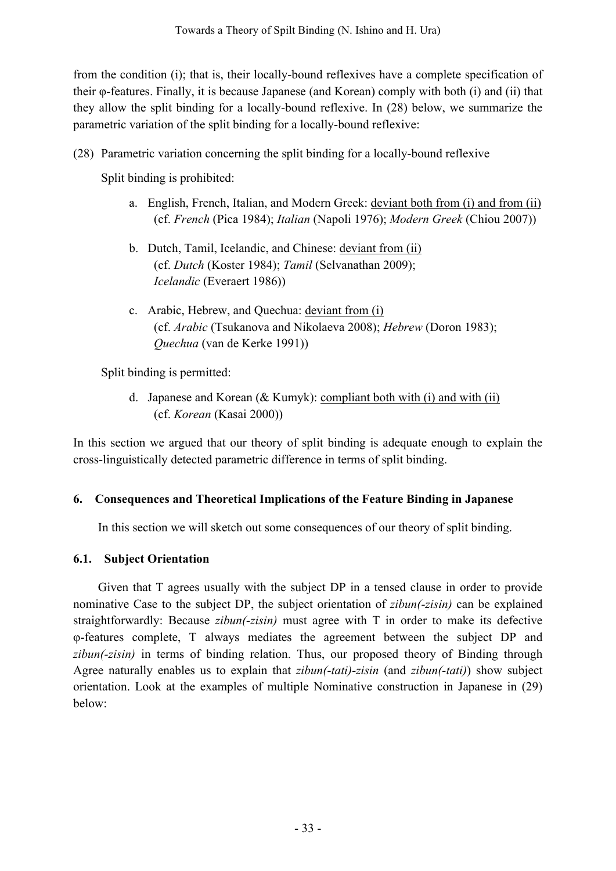from the condition (i); that is, their locally-bound reflexives have a complete specification of their φ-features. Finally, it is because Japanese (and Korean) comply with both (i) and (ii) that they allow the split binding for a locally-bound reflexive. In (28) below, we summarize the parametric variation of the split binding for a locally-bound reflexive:

(28) Parametric variation concerning the split binding for a locally-bound reflexive

Split binding is prohibited:

- a. English, French, Italian, and Modern Greek: deviant both from (i) and from (ii) (cf. *French* (Pica 1984); *Italian* (Napoli 1976); *Modern Greek* (Chiou 2007))
- b. Dutch, Tamil, Icelandic, and Chinese: deviant from (ii) (cf. *Dutch* (Koster 1984); *Tamil* (Selvanathan 2009); *Icelandic* (Everaert 1986))
- c. Arabic, Hebrew, and Quechua: deviant from (i) (cf. *Arabic* (Tsukanova and Nikolaeva 2008); *Hebrew* (Doron 1983); *Quechua* (van de Kerke 1991))

Split binding is permitted:

d. Japanese and Korean (& Kumyk): compliant both with (i) and with (ii) (cf. *Korean* (Kasai 2000))

In this section we argued that our theory of split binding is adequate enough to explain the cross-linguistically detected parametric difference in terms of split binding.

# **6. Consequences and Theoretical Implications of the Feature Binding in Japanese**

In this section we will sketch out some consequences of our theory of split binding.

# **6.1. Subject Orientation**

Given that T agrees usually with the subject DP in a tensed clause in order to provide nominative Case to the subject DP, the subject orientation of *zibun(-zisin)* can be explained straightforwardly: Because *zibun(-zisin)* must agree with T in order to make its defective φ-features complete, T always mediates the agreement between the subject DP and *zibun(-zisin)* in terms of binding relation. Thus, our proposed theory of Binding through Agree naturally enables us to explain that *zibun(-tati)-zisin* (and *zibun(-tati)*) show subject orientation. Look at the examples of multiple Nominative construction in Japanese in (29) below: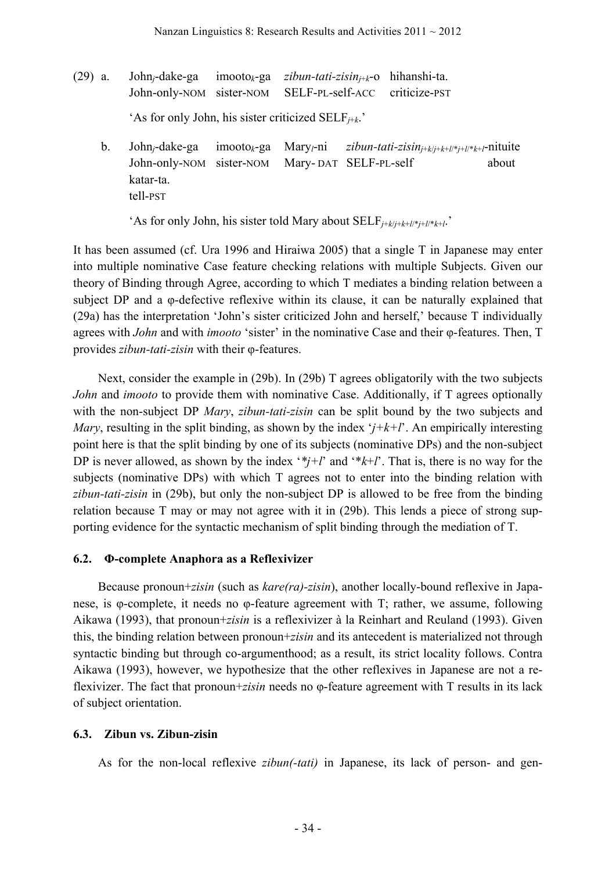(29) a. John*j*-dake-ga imooto*k*-ga *zibun-tati-zisinj*+*k*-o hihanshi-ta. John-only-NOM sister-NOM SELF-PL-self-ACC criticize-PST

'As for only John, his sister criticized SELF*j*+*k*.'

b. John*j*-dake-ga imooto*k*-ga Mary*l*-ni *zibun-tati-zisinj*+*k*/*j*+*k*+*l*/\**j*+*l*/\**k*+*l*-nituite John-only-NOM sister-NOM Mary- DAT SELF-PL-self about katar-ta. tell-PST

'As for only John, his sister told Mary about  $\text{SELF}_{i+k/i+k+l'k+i+l'k+l}$ .'

It has been assumed (cf. Ura 1996 and Hiraiwa 2005) that a single T in Japanese may enter into multiple nominative Case feature checking relations with multiple Subjects. Given our theory of Binding through Agree, according to which T mediates a binding relation between a subject DP and a φ-defective reflexive within its clause, it can be naturally explained that (29a) has the interpretation 'John's sister criticized John and herself,' because T individually agrees with *John* and with *imooto* 'sister' in the nominative Case and their φ-features. Then, T provides *zibun-tati-zisin* with their φ-features.

Next, consider the example in (29b). In (29b) T agrees obligatorily with the two subjects *John* and *imooto* to provide them with nominative Case. Additionally, if T agrees optionally with the non-subject DP *Mary*, *zibun-tati-zisin* can be split bound by the two subjects and *Mary*, resulting in the split binding, as shown by the index '*j*+*k*+*l*'. An empirically interesting point here is that the split binding by one of its subjects (nominative DPs) and the non-subject DP is never allowed, as shown by the index '*\*j+l*' and '\**k*+*l*'. That is, there is no way for the subjects (nominative DPs) with which T agrees not to enter into the binding relation with *zibun-tati-zisin* in (29b), but only the non-subject DP is allowed to be free from the binding relation because T may or may not agree with it in (29b). This lends a piece of strong supporting evidence for the syntactic mechanism of split binding through the mediation of T.

## **6.2. Φ-complete Anaphora as a Reflexivizer**

Because pronoun+*zisin* (such as *kare(ra)-zisin*), another locally-bound reflexive in Japanese, is φ-complete, it needs no φ-feature agreement with T; rather, we assume, following Aikawa (1993), that pronoun+*zisin* is a reflexivizer à la Reinhart and Reuland (1993). Given this, the binding relation between pronoun+*zisin* and its antecedent is materialized not through syntactic binding but through co-argumenthood; as a result, its strict locality follows. Contra Aikawa (1993), however, we hypothesize that the other reflexives in Japanese are not a reflexivizer. The fact that pronoun+*zisin* needs no φ-feature agreement with T results in its lack of subject orientation.

#### **6.3. Zibun vs. Zibun-zisin**

As for the non-local reflexive *zibun(-tati)* in Japanese, its lack of person- and gen-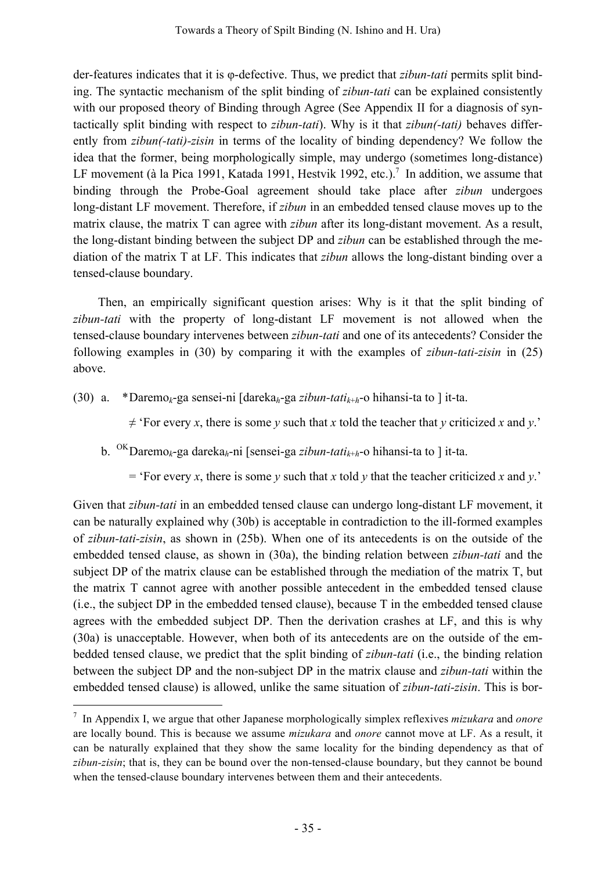der-features indicates that it is φ-defective. Thus, we predict that *zibun-tati* permits split binding. The syntactic mechanism of the split binding of *zibun-tati* can be explained consistently with our proposed theory of Binding through Agree (See Appendix II for a diagnosis of syntactically split binding with respect to *zibun-tati*). Why is it that *zibun(-tati)* behaves differently from *zibun(-tati)-zisin* in terms of the locality of binding dependency? We follow the idea that the former, being morphologically simple, may undergo (sometimes long-distance) LF movement (à la Pica 1991, Katada 1991, Hestvik 1992, etc.).<sup>7</sup> In addition, we assume that binding through the Probe-Goal agreement should take place after *zibun* undergoes long-distant LF movement. Therefore, if *zibun* in an embedded tensed clause moves up to the matrix clause, the matrix T can agree with *zibun* after its long-distant movement. As a result, the long-distant binding between the subject DP and *zibun* can be established through the mediation of the matrix T at LF. This indicates that *zibun* allows the long-distant binding over a tensed-clause boundary.

Then, an empirically significant question arises: Why is it that the split binding of *zibun-tati* with the property of long-distant LF movement is not allowed when the tensed-clause boundary intervenes between *zibun-tati* and one of its antecedents? Consider the following examples in (30) by comparing it with the examples of *zibun-tati-zisin* in (25) above.

(30) a. \*Daremo*k*-ga sensei-ni [dareka*h*-ga *zibun-tatik*+*h*-o hihansi-ta to ] it-ta.

 $\neq$  'For every *x*, there is some *y* such that *x* told the teacher that *y* criticized *x* and *y*.'

b. OKDaremo*k*-ga dareka*h*-ni [sensei-ga *zibun-tatik*+*h*-o hihansi-ta to ] it-ta.

 $=$  'For every *x*, there is some *y* such that *x* told *y* that the teacher criticized *x* and *y*.'

Given that *zibun-tati* in an embedded tensed clause can undergo long-distant LF movement, it can be naturally explained why (30b) is acceptable in contradiction to the ill-formed examples of *zibun-tati-zisin*, as shown in (25b). When one of its antecedents is on the outside of the embedded tensed clause, as shown in (30a), the binding relation between *zibun-tati* and the subject DP of the matrix clause can be established through the mediation of the matrix T, but the matrix T cannot agree with another possible antecedent in the embedded tensed clause (i.e., the subject DP in the embedded tensed clause), because T in the embedded tensed clause agrees with the embedded subject DP. Then the derivation crashes at LF, and this is why (30a) is unacceptable. However, when both of its antecedents are on the outside of the embedded tensed clause, we predict that the split binding of *zibun-tati* (i.e., the binding relation between the subject DP and the non-subject DP in the matrix clause and *zibun-tati* within the embedded tensed clause) is allowed, unlike the same situation of *zibun-tati-zisin*. This is bor-

 <sup>7</sup> In Appendix I, we argue that other Japanese morphologically simplex reflexives *mizukara* and *onore* are locally bound. This is because we assume *mizukara* and *onore* cannot move at LF. As a result, it can be naturally explained that they show the same locality for the binding dependency as that of *zibun-zisin*; that is, they can be bound over the non-tensed-clause boundary, but they cannot be bound when the tensed-clause boundary intervenes between them and their antecedents.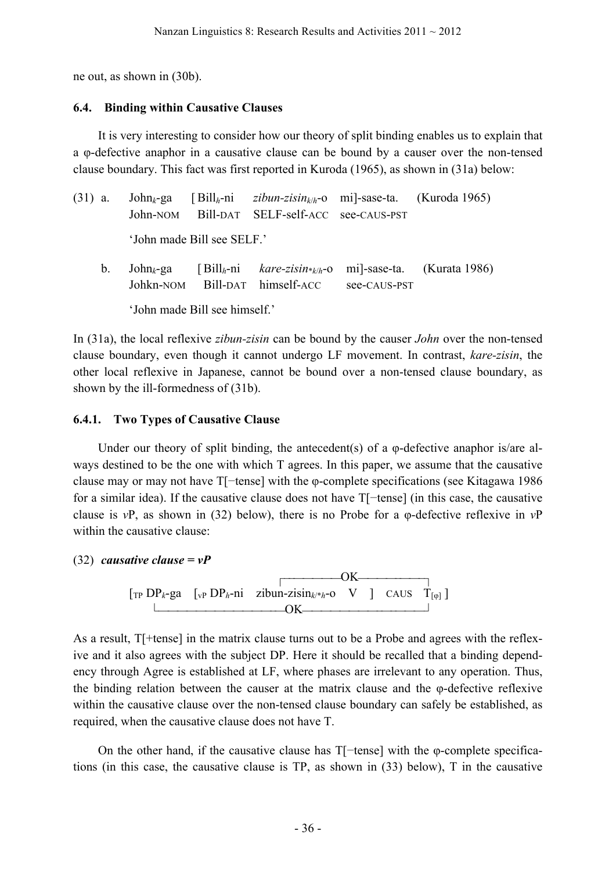ne out, as shown in (30b).

### **6.4. Binding within Causative Clauses**

It is very interesting to consider how our theory of split binding enables us to explain that a φ-defective anaphor in a causative clause can be bound by a causer over the non-tensed clause boundary. This fact was first reported in Kuroda (1965), as shown in (31a) below:

| $(31)$ a.   | John-NOM |                               | John <sub>k</sub> -ga [Bill <sub>h</sub> -ni <i>zibun-zisin<sub>k/h</sub></i> -o mi]-sase-ta. (Kuroda 1965)<br>Bill-DAT SELF-self-ACC see-CAUS-PST |              |  |
|-------------|----------|-------------------------------|----------------------------------------------------------------------------------------------------------------------------------------------------|--------------|--|
|             |          | 'John made Bill see SELF.'    |                                                                                                                                                    |              |  |
| $b_{\cdot}$ |          |                               | John <sub>k</sub> -ga [Bill <sub>k</sub> -ni <i>kare-zisin</i> * <sub>k/k</sub> -o mi]-sase-ta. (Kurata 1986)<br>Johkn-NOM Bill-DAT himself-ACC    | see-CAUS-PST |  |
|             |          | 'John made Bill see himself.' |                                                                                                                                                    |              |  |

In (31a), the local reflexive *zibun-zisin* can be bound by the causer *John* over the non-tensed clause boundary, even though it cannot undergo LF movement. In contrast, *kare-zisin*, the other local reflexive in Japanese, cannot be bound over a non-tensed clause boundary, as shown by the ill-formedness of (31b).

## **6.4.1. Two Types of Causative Clause**

Under our theory of split binding, the antecedent(s) of a  $\varphi$ -defective anaphor is/are always destined to be the one with which T agrees. In this paper, we assume that the causative clause may or may not have T[−tense] with the φ-complete specifications (see Kitagawa 1986 for a similar idea). If the causative clause does not have T[−tense] (in this case, the causative clause is *v*P, as shown in (32) below), there is no Probe for a φ-defective reflexive in *v*P within the causative clause:

## (32) *causative clause = vP*



As a result, T[+tense] in the matrix clause turns out to be a Probe and agrees with the reflexive and it also agrees with the subject DP. Here it should be recalled that a binding dependency through Agree is established at LF, where phases are irrelevant to any operation. Thus, the binding relation between the causer at the matrix clause and the φ-defective reflexive within the causative clause over the non-tensed clause boundary can safely be established, as required, when the causative clause does not have T.

On the other hand, if the causative clause has T[−tense] with the φ-complete specifications (in this case, the causative clause is TP, as shown in (33) below), T in the causative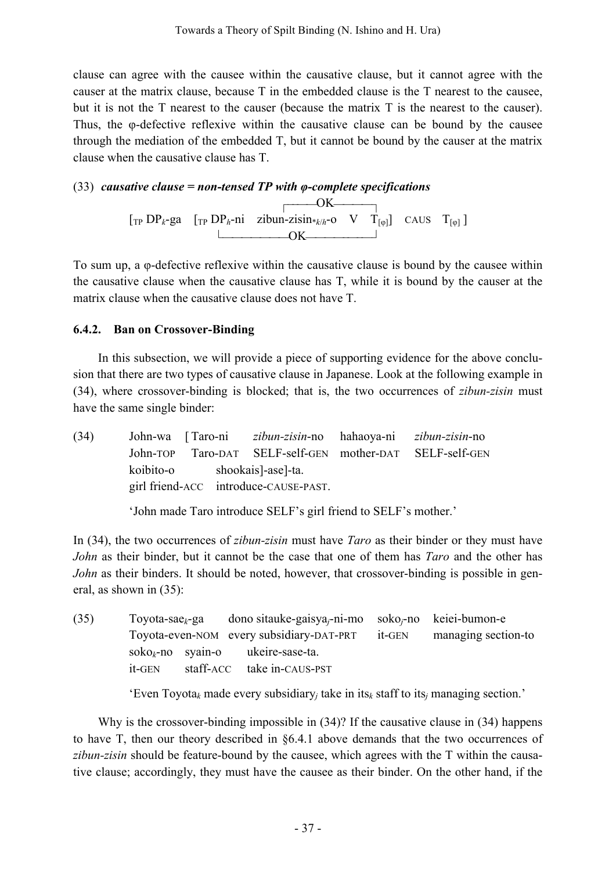clause can agree with the causee within the causative clause, but it cannot agree with the causer at the matrix clause, because T in the embedded clause is the T nearest to the causee, but it is not the T nearest to the causer (because the matrix T is the nearest to the causer). Thus, the φ-defective reflexive within the causative clause can be bound by the causee through the mediation of the embedded T, but it cannot be bound by the causer at the matrix clause when the causative clause has T.

## (33) *causative clause = non-tensed TP with φ-complete specifications*

 a\_\_--OK----l  $[\text{TP }DP_k\text{-}ga \quad [\text{TP }DP_h\text{-}ni \quad zibun-zisin*_{k/h}\text{-}o \quad V \quad T_{[\varphi]}] \quad \text{CAUS} \quad T_{[\varphi]}]$ z-------OK----\_-\_-m

To sum up, a φ-defective reflexive within the causative clause is bound by the causee within the causative clause when the causative clause has T, while it is bound by the causer at the matrix clause when the causative clause does not have T.

## **6.4.2. Ban on Crossover-Binding**

In this subsection, we will provide a piece of supporting evidence for the above conclusion that there are two types of causative clause in Japanese. Look at the following example in (34), where crossover-binding is blocked; that is, the two occurrences of *zibun-zisin* must have the same single binder:

| (34) |                                       |                              | John-wa [Taro-ni zibun-zisin-no hahaoya-ni zibun-zisin-no |  |
|------|---------------------------------------|------------------------------|-----------------------------------------------------------|--|
|      |                                       |                              | John-TOP Taro-DAT SELF-self-GEN mother-DAT SELF-self-GEN  |  |
|      |                                       | koibito-o shookais]-ase]-ta. |                                                           |  |
|      | girl friend-ACC introduce-CAUSE-PAST. |                              |                                                           |  |
|      |                                       |                              |                                                           |  |

'John made Taro introduce SELF's girl friend to SELF's mother.'

In (34), the two occurrences of *zibun-zisin* must have *Taro* as their binder or they must have *John* as their binder, but it cannot be the case that one of them has *Taro* and the other has *John* as their binders. It should be noted, however, that crossover-binding is possible in general, as shown in (35):

| (35) | Toyota-sae <sub>k</sub> -ga | dono sitauke-gaisya <sub>i</sub> -ni-mo soko <sub>i</sub> -no keiei-bumon-e |  |
|------|-----------------------------|-----------------------------------------------------------------------------|--|
|      |                             | Toyota-even-NOM every subsidiary-DAT-PRT it-GEN managing section-to         |  |
|      |                             | $soko_k$ -no syain-o ukeire-sase-ta.                                        |  |
|      | 1t-GEN                      | staff-ACC take in-CAUS-PST                                                  |  |

'Even Toyota*k* made every subsidiary*j* take in its*k* staff to its*j* managing section.'

Why is the crossover-binding impossible in  $(34)$ ? If the causative clause in  $(34)$  happens to have T, then our theory described in §6.4.1 above demands that the two occurrences of *zibun-zisin* should be feature-bound by the causee, which agrees with the T within the causative clause; accordingly, they must have the causee as their binder. On the other hand, if the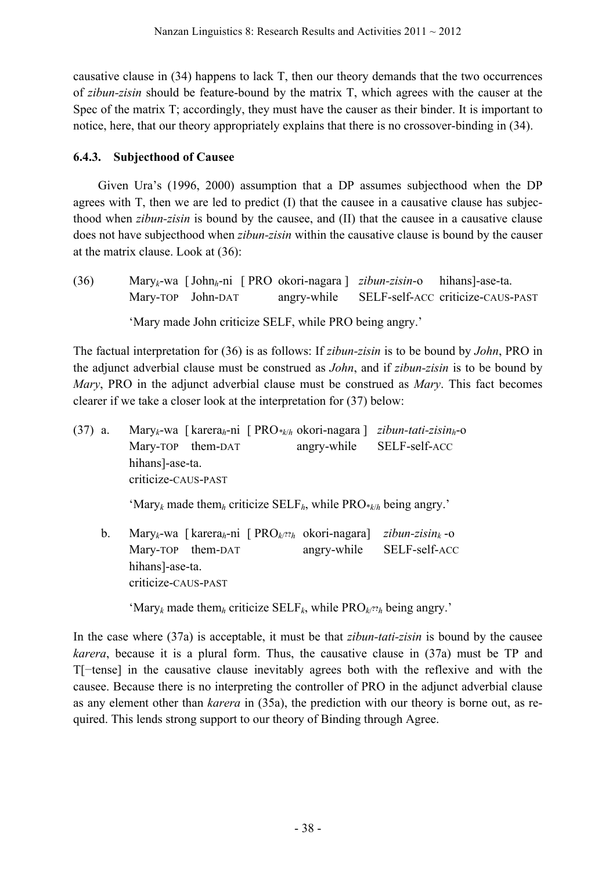causative clause in (34) happens to lack T, then our theory demands that the two occurrences of *zibun-zisin* should be feature-bound by the matrix T, which agrees with the causer at the Spec of the matrix T; accordingly, they must have the causer as their binder. It is important to notice, here, that our theory appropriately explains that there is no crossover-binding in (34).

## **6.4.3. Subjecthood of Causee**

Given Ura's (1996, 2000) assumption that a DP assumes subjecthood when the DP agrees with T, then we are led to predict (I) that the causee in a causative clause has subjecthood when *zibun-zisin* is bound by the causee, and (II) that the causee in a causative clause does not have subjecthood when *zibun-zisin* within the causative clause is bound by the causer at the matrix clause. Look at (36):

(36) Mary*k*-wa [John*h*-ni [ PRO okori-nagara ] *zibun-zisin*-o hihans]-ase-ta. Mary-TOP John-DAT angry-while SELF-self-ACC criticize-CAUS-PAST

'Mary made John criticize SELF, while PRO being angry.'

The factual interpretation for (36) is as follows: If *zibun-zisin* is to be bound by *John*, PRO in the adjunct adverbial clause must be construed as *John*, and if *zibun-zisin* is to be bound by *Mary*, PRO in the adjunct adverbial clause must be construed as *Mary*. This fact becomes clearer if we take a closer look at the interpretation for (37) below:

- (37) a. Mary*k*-wa [ karera*h*-ni [ PRO*\*k*/*<sup>h</sup>* okori-nagara ] *zibun-tati-zisinh*-o Mary-TOP them-DAT angry-while SELF-self-ACC hihans]-ase-ta. criticize-CAUS-PAST 'Mary<sub>k</sub> made them<sub>*h*</sub> criticize SELF<sub>*h*</sub>, while PRO $*_{k/h}$  being angry.'
	- b. Mary*k*-wa [ karera*h*-ni [ PRO*k*/**??***<sup>h</sup>* okori-nagara] *zibun-zisink* -o Mary-TOP them-DAT angry-while SELF-self-ACC hihans]-ase-ta. criticize-CAUS-PAST

'Mary*k* made them*h* criticize SELF*k*, while PRO*k*/**??***h* being angry.'

In the case where (37a) is acceptable, it must be that *zibun-tati-zisin* is bound by the causee *karera*, because it is a plural form. Thus, the causative clause in (37a) must be TP and T[−tense] in the causative clause inevitably agrees both with the reflexive and with the causee. Because there is no interpreting the controller of PRO in the adjunct adverbial clause as any element other than *karera* in (35a), the prediction with our theory is borne out, as required. This lends strong support to our theory of Binding through Agree.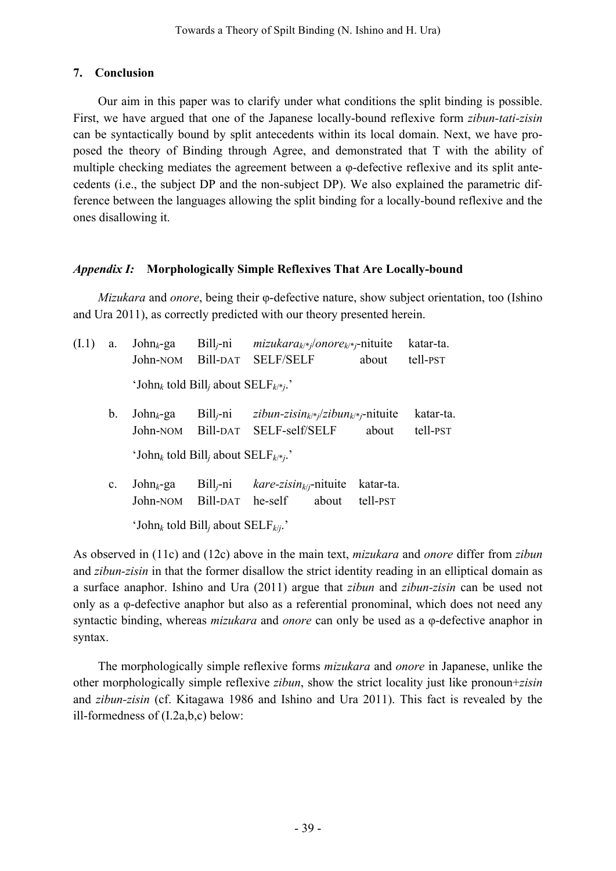# **7. Conclusion**

Our aim in this paper was to clarify under what conditions the split binding is possible. First, we have argued that one of the Japanese locally-bound reflexive form *zibun-tati-zisin*  can be syntactically bound by split antecedents within its local domain. Next, we have proposed the theory of Binding through Agree, and demonstrated that T with the ability of multiple checking mediates the agreement between a φ-defective reflexive and its split antecedents (i.e., the subject DP and the non-subject DP). We also explained the parametric difference between the languages allowing the split binding for a locally-bound reflexive and the ones disallowing it.

## *Appendix I:* **Morphologically Simple Reflexives That Are Locally-bound**

*Mizukara* and *onore*, being their φ-defective nature, show subject orientation, too (Ishino and Ura 2011), as correctly predicted with our theory presented herein.

| (I.1) | a.             | $John_k$ -ga<br>John-NOM                                                   | $Billi$ -ni<br>Bill-DAT | $mizukara_{k'*j}/onore_{k'*j}$ -nituite<br><b>SELF/SELF</b>                            | about                 | katar-ta.<br>tell-PST |  |  |
|-------|----------------|----------------------------------------------------------------------------|-------------------------|----------------------------------------------------------------------------------------|-----------------------|-----------------------|--|--|
|       |                | 'John <sub>k</sub> told Bill <sub>i</sub> about $\text{SELF}_{k^{*}/k}$ .' |                         |                                                                                        |                       |                       |  |  |
|       | $\mathbf{b}$ . | $John_k$ -ga<br>John-NOM                                                   | $Billi$ -ni             | zibun-zisin <sub>k/*j</sub> /zibun <sub>k/*j</sub> -nituite<br>Bill-DAT SELF-self/SELF | about                 | katar-ta.<br>tell-PST |  |  |
|       |                | 'John <sub>k</sub> told Bill <sub>i</sub> about SELF <sub>k/*j</sub> .'    |                         |                                                                                        |                       |                       |  |  |
|       | $\mathbf{c}$ . | $John_k$ -ga<br>John-NOM                                                   | $Billi$ -ni<br>Bill-DAT | <i>kare-zisin<sub>k/j</sub></i> -nituite<br>he-self<br>about                           | katar-ta.<br>tell-PST |                       |  |  |
|       |                | 'John <sub>k</sub> told Bill <sub>i</sub> about SELF <sub>k/i</sub> .'     |                         |                                                                                        |                       |                       |  |  |

As observed in (11c) and (12c) above in the main text, *mizukara* and *onore* differ from *zibun* and *zibun-zisin* in that the former disallow the strict identity reading in an elliptical domain as a surface anaphor. Ishino and Ura (2011) argue that *zibun* and *zibun-zisin* can be used not only as a φ-defective anaphor but also as a referential pronominal, which does not need any syntactic binding, whereas *mizukara* and *onore* can only be used as a φ-defective anaphor in syntax.

The morphologically simple reflexive forms *mizukara* and *onore* in Japanese, unlike the other morphologically simple reflexive *zibun*, show the strict locality just like pronoun+*zisin*  and *zibun-zisin* (cf. Kitagawa 1986 and Ishino and Ura 2011). This fact is revealed by the ill-formedness of (I.2a,b,c) below: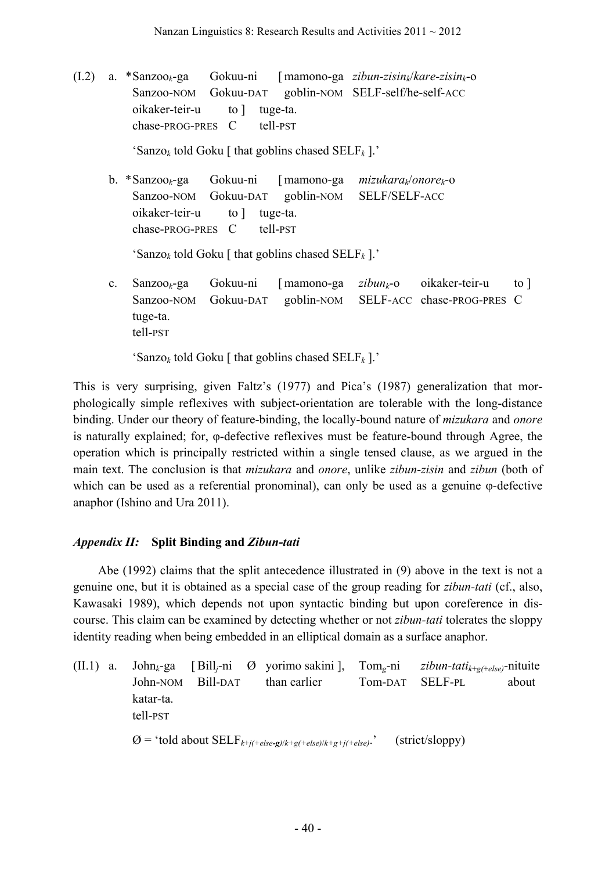(I.2) a. \*Sanzoo*k*-ga Gokuu-ni [ mamono-ga *zibun-zisink*/*kare-zisink*-o Sanzoo-NOM Gokuu-DAT goblin-NOM SELF-self/he-self-ACC oikaker-teir-u to l tuge-ta. chase-PROG-PRES C tell-PST

'Sanzo<sub>k</sub> told Goku [ that goblins chased  $\text{SELF}_k$  ].'

b. \*Sanzoo*k*-ga Gokuu-ni [ mamono-ga *mizukarak*/*onorek*-o Sanzoo-NOM Gokuu-DAT goblin-NOM SELF/SELF-ACC oikaker-teir-u to ] tuge-ta. chase-PROG-PRES C tell-PST

'Sanzo<sub>k</sub> told Goku [ that goblins chased  $\text{SELF}_k$  ].'

c. Sanzoo*k*-ga Gokuu-ni [ mamono-ga *zibunk*-o oikaker-teir-u to ] Sanzoo-NOM Gokuu-DAT goblin-NOM SELF-ACC chase-PROG-PRES C tuge-ta. tell-PST

'Sanzo<sub>k</sub> told Goku [ that goblins chased  $\text{SELF}_k$  ].'

This is very surprising, given Faltz's (1977) and Pica's (1987) generalization that morphologically simple reflexives with subject-orientation are tolerable with the long-distance binding. Under our theory of feature-binding, the locally-bound nature of *mizukara* and *onore* is naturally explained; for, φ-defective reflexives must be feature-bound through Agree, the operation which is principally restricted within a single tensed clause, as we argued in the main text. The conclusion is that *mizukara* and *onore*, unlike *zibun-zisin* and *zibun* (both of which can be used as a referential pronominal), can only be used as a genuine φ-defective anaphor (Ishino and Ura 2011).

# *Appendix II:* **Split Binding and** *Zibun-tati*

Abe (1992) claims that the split antecedence illustrated in (9) above in the text is not a genuine one, but it is obtained as a special case of the group reading for *zibun-tati* (cf., also, Kawasaki 1989), which depends not upon syntactic binding but upon coreference in discourse. This claim can be examined by detecting whether or not *zibun-tati* tolerates the sloppy identity reading when being embedded in an elliptical domain as a surface anaphor.

(II.1) a. John*k*-ga [ Bill*j*-ni Ø yorimo sakini ], Tom*g*-ni *zibun-tatik*+*g(*+*else)*-nituite John-NOM Bill-DAT than earlier Tom-DAT SELF-PL about katar-ta. tell-PST  $\emptyset$  = 'told about SELF<sub>*k+j(+else-g*)/ $k+g$ (+else) $k+g+if$ (+else).' (strict/sloppy)</sub>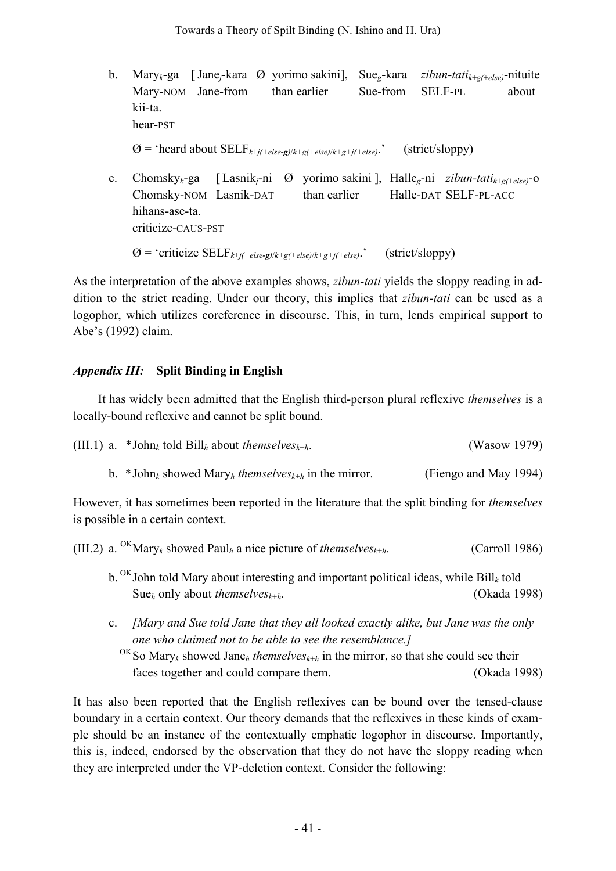b. Mary*k*-ga [Jane*j*-kara Ø yorimo sakini], Sue*g*-kara *zibun-tatik*+*g(*+*else)*-nituite Mary-NOM Jane-from than earlier Sue-from SELF-PL about kii-ta. hear-PST

 $\emptyset$  = 'heard about SELF<sub>*k+j(+else-g)*/ $k+g$ (+else)/ $k+g+j$ (+else).' (strict/sloppy)</sub>

c. Chomsky*k*-ga [ Lasnik*j*-ni Ø yorimo sakini ], Halle*g*-ni *zibun-tatik*+*g(*+*else)*-o Chomsky-NOM Lasnik-DAT than earlier Halle-DAT SELF-PL-ACC hihans-ase-ta. criticize-CAUS-PST  $\emptyset$  = 'criticize SELF<sub>*k+j(+else-g)*/*k+g(+else)*/*k+g+j(+else*).' (strict/sloppy)</sub>

As the interpretation of the above examples shows, *zibun-tati* yields the sloppy reading in addition to the strict reading. Under our theory, this implies that *zibun-tati* can be used as a logophor, which utilizes coreference in discourse. This, in turn, lends empirical support to Abe's (1992) claim.

## *Appendix III:* **Split Binding in English**

It has widely been admitted that the English third-person plural reflexive *themselves* is a locally-bound reflexive and cannot be split bound.

|  | (III.1) a. *John <sub>k</sub> told Bill <sub>h</sub> about <i>themselves</i> <sub><math>k+h</math>.</sub> | (Wasow 1979) |
|--|-----------------------------------------------------------------------------------------------------------|--------------|
|--|-----------------------------------------------------------------------------------------------------------|--------------|

b. \*John<sub>k</sub> showed Mary<sub>h</sub> *themselves*<sub> $k+h$ </sub> in the mirror. (Fiengo and May 1994)

However, it has sometimes been reported in the literature that the split binding for *themselves* is possible in a certain context.

(III.2) a. <sup>OK</sup>Mary<sub>k</sub> showed Paul<sub>h</sub> a nice picture of *themselves*<sub> $k+h$ </sub>. (Carroll 1986)

- b. OKJohn told Mary about interesting and important political ideas, while Bill*<sup>k</sup>* told Sue*h* only about *themselvesk*+*h*. (Okada 1998)
- c. *[Mary and Sue told Jane that they all looked exactly alike, but Jane was the only one who claimed not to be able to see the resemblance.]*
	- <sup>OK</sup>So Mary<sub>k</sub> showed Jane<sub>h</sub> *themselves*<sub> $k+h$ </sub> in the mirror, so that she could see their faces together and could compare them. (Okada 1998)

It has also been reported that the English reflexives can be bound over the tensed-clause boundary in a certain context. Our theory demands that the reflexives in these kinds of example should be an instance of the contextually emphatic logophor in discourse. Importantly, this is, indeed, endorsed by the observation that they do not have the sloppy reading when they are interpreted under the VP-deletion context. Consider the following: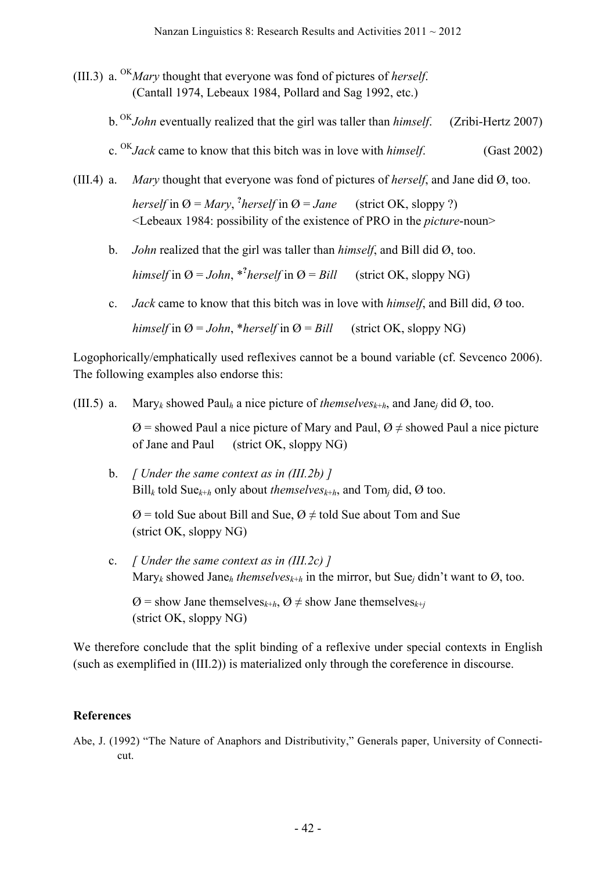- (III.3) a. OK*Mary* thought that everyone was fond of pictures of *herself*. (Cantall 1974, Lebeaux 1984, Pollard and Sag 1992, etc.)
	- b. OK*John* eventually realized that the girl was taller than *himself*. (Zribi-Hertz 2007)
	- c. OK*Jack* came to know that this bitch was in love with *himself*. (Gast 2002)
- (III.4) a. *Mary* thought that everyone was fond of pictures of *herself*, and Jane did Ø, too. *herself* in  $\emptyset$  = *Mary*, <sup>2</sup>*herself* in  $\emptyset$  = *Jane (strict OK, sloppy ?)* <Lebeaux 1984: possibility of the existence of PRO in the *picture*-noun>
	- b. *John* realized that the girl was taller than *himself*, and Bill did Ø, too. *himself* in  $\varnothing = John$ , \*<sup>2</sup> *herself* in  $\varnothing = Bill$  (strict OK, sloppy NG)
	- c. *Jack* came to know that this bitch was in love with *himself*, and Bill did, Ø too.

*himself* in  $\varnothing = John$ , \**herself* in  $\varnothing = Bill$  (strict OK, sloppy NG)

Logophorically/emphatically used reflexives cannot be a bound variable (cf. Sevcenco 2006). The following examples also endorse this:

(III.5) a. Mary<sub>k</sub> showed Paul<sub>h</sub> a nice picture of *themselves*<sub> $k+h$ </sub>, and Jane<sub>*i*</sub> did Ø, too.

 $\varnothing$  = showed Paul a nice picture of Mary and Paul,  $\varnothing \neq$  showed Paul a nice picture of Jane and Paul (strict OK, sloppy NG)

b. *[ Under the same context as in (III.2b) ]* Bill<sub>k</sub> told Sue<sub>k+h</sub> only about *themselves*<sub>k+h</sub>, and Tom<sub>*i*</sub> did, Ø too.

 $\varnothing$  = told Sue about Bill and Sue,  $\varnothing \neq$  told Sue about Tom and Sue (strict OK, sloppy NG)

c. *[ Under the same context as in (III.2c) ]* Mary<sub>k</sub> showed Jane<sub>h</sub> *themselves*<sub> $k+h$ </sub> in the mirror, but Sue<sub>i</sub> didn't want to Ø, too.

 $\emptyset$  = show Jane themselves<sub>*k*+*h*</sub>,  $\emptyset$   $\neq$  show Jane themselves<sub>*k*+*i*</sub> (strict OK, sloppy NG)

We therefore conclude that the split binding of a reflexive under special contexts in English (such as exemplified in (III.2)) is materialized only through the coreference in discourse.

#### **References**

Abe, J. (1992) "The Nature of Anaphors and Distributivity," Generals paper, University of Connecticut.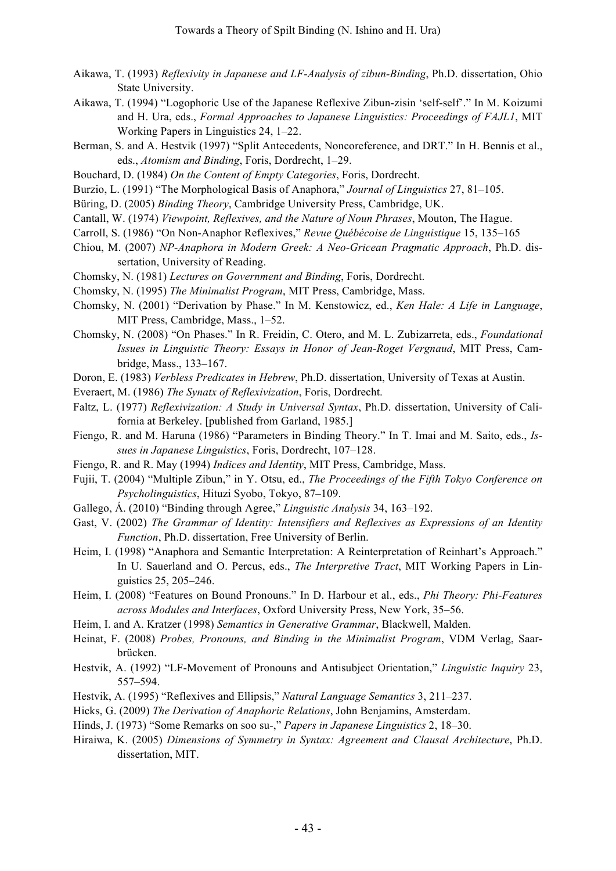- Aikawa, T. (1993) *Reflexivity in Japanese and LF-Analysis of zibun-Binding*, Ph.D. dissertation, Ohio State University.
- Aikawa, T. (1994) "Logophoric Use of the Japanese Reflexive Zibun-zisin 'self-self'." In M. Koizumi and H. Ura, eds., *Formal Approaches to Japanese Linguistics: Proceedings of FAJL1*, MIT Working Papers in Linguistics 24, 1–22.
- Berman, S. and A. Hestvik (1997) "Split Antecedents, Noncoreference, and DRT." In H. Bennis et al., eds., *Atomism and Binding*, Foris, Dordrecht, 1–29.
- Bouchard, D. (1984) *On the Content of Empty Categories*, Foris, Dordrecht.
- Burzio, L. (1991) "The Morphological Basis of Anaphora," *Journal of Linguistics* 27, 81–105.
- Büring, D. (2005) *Binding Theory*, Cambridge University Press, Cambridge, UK.
- Cantall, W. (1974) *Viewpoint, Reflexives, and the Nature of Noun Phrases*, Mouton, The Hague.
- Carroll, S. (1986) "On Non-Anaphor Reflexives," *Revue Québécoise de Linguistique* 15, 135–165
- Chiou, M. (2007) *NP-Anaphora in Modern Greek: A Neo-Gricean Pragmatic Approach*, Ph.D. dissertation, University of Reading.
- Chomsky, N. (1981) *Lectures on Government and Binding*, Foris, Dordrecht.
- Chomsky, N. (1995) *The Minimalist Program*, MIT Press, Cambridge, Mass.
- Chomsky, N. (2001) "Derivation by Phase." In M. Kenstowicz, ed., *Ken Hale: A Life in Language*, MIT Press, Cambridge, Mass., 1–52.
- Chomsky, N. (2008) "On Phases." In R. Freidin, C. Otero, and M. L. Zubizarreta, eds., *Foundational Issues in Linguistic Theory: Essays in Honor of Jean-Roget Vergnaud*, MIT Press, Cambridge, Mass., 133–167.
- Doron, E. (1983) *Verbless Predicates in Hebrew*, Ph.D. dissertation, University of Texas at Austin.
- Everaert, M. (1986) *The Synatx of Reflexivization*, Foris, Dordrecht.
- Faltz, L. (1977) *Reflexivization: A Study in Universal Syntax*, Ph.D. dissertation, University of California at Berkeley. [published from Garland, 1985.]
- Fiengo, R. and M. Haruna (1986) "Parameters in Binding Theory." In T. Imai and M. Saito, eds., *Issues in Japanese Linguistics*, Foris, Dordrecht, 107–128.
- Fiengo, R. and R. May (1994) *Indices and Identity*, MIT Press, Cambridge, Mass.
- Fujii, T. (2004) "Multiple Zibun," in Y. Otsu, ed., *The Proceedings of the Fifth Tokyo Conference on Psycholinguistics*, Hituzi Syobo, Tokyo, 87–109.
- Gallego, Á. (2010) "Binding through Agree," *Linguistic Analysis* 34, 163–192.
- Gast, V. (2002) *The Grammar of Identity: Intensifiers and Reflexives as Expressions of an Identity Function*, Ph.D. dissertation, Free University of Berlin.
- Heim, I. (1998) "Anaphora and Semantic Interpretation: A Reinterpretation of Reinhart's Approach." In U. Sauerland and O. Percus, eds., *The Interpretive Tract*, MIT Working Papers in Linguistics 25, 205–246.
- Heim, I. (2008) "Features on Bound Pronouns." In D. Harbour et al., eds., *Phi Theory: Phi-Features across Modules and Interfaces*, Oxford University Press, New York, 35–56.
- Heim, I. and A. Kratzer (1998) *Semantics in Generative Grammar*, Blackwell, Malden.
- Heinat, F. (2008) *Probes, Pronouns, and Binding in the Minimalist Program*, VDM Verlag, Saarbrücken.
- Hestvik, A. (1992) "LF-Movement of Pronouns and Antisubject Orientation," *Linguistic Inquiry* 23, 557–594.
- Hestvik, A. (1995) "Reflexives and Ellipsis," *Natural Language Semantics* 3, 211–237.
- Hicks, G. (2009) *The Derivation of Anaphoric Relations*, John Benjamins, Amsterdam.
- Hinds, J. (1973) "Some Remarks on soo su-," *Papers in Japanese Linguistics* 2, 18–30.
- Hiraiwa, K. (2005) *Dimensions of Symmetry in Syntax: Agreement and Clausal Architecture*, Ph.D. dissertation, MIT.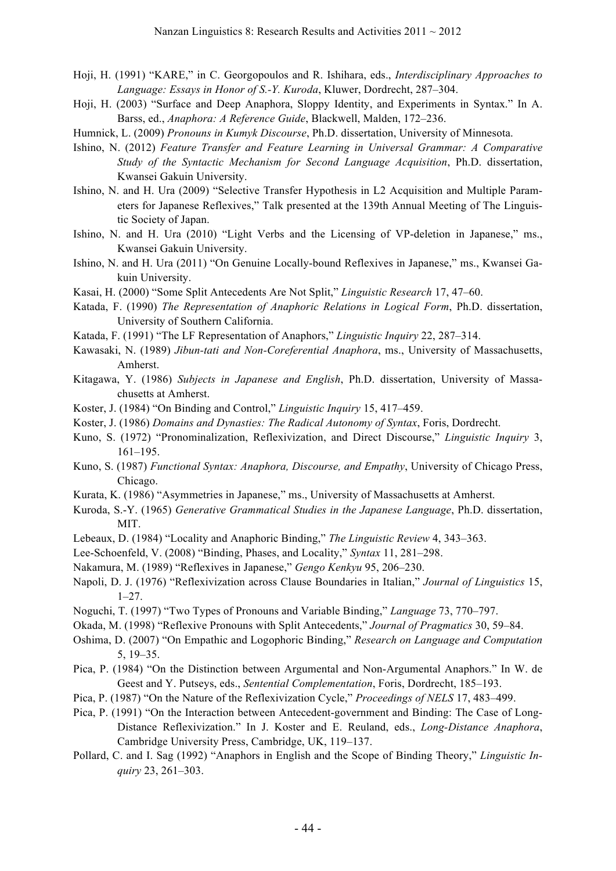- Hoji, H. (1991) "KARE," in C. Georgopoulos and R. Ishihara, eds., *Interdisciplinary Approaches to Language: Essays in Honor of S.-Y. Kuroda*, Kluwer, Dordrecht, 287–304.
- Hoji, H. (2003) "Surface and Deep Anaphora, Sloppy Identity, and Experiments in Syntax." In A. Barss, ed., *Anaphora: A Reference Guide*, Blackwell, Malden, 172–236.
- Humnick, L. (2009) *Pronouns in Kumyk Discourse*, Ph.D. dissertation, University of Minnesota.
- Ishino, N. (2012) *Feature Transfer and Feature Learning in Universal Grammar: A Comparative Study of the Syntactic Mechanism for Second Language Acquisition*, Ph.D. dissertation, Kwansei Gakuin University.
- Ishino, N. and H. Ura (2009) "Selective Transfer Hypothesis in L2 Acquisition and Multiple Parameters for Japanese Reflexives," Talk presented at the 139th Annual Meeting of The Linguistic Society of Japan.
- Ishino, N. and H. Ura (2010) "Light Verbs and the Licensing of VP-deletion in Japanese," ms., Kwansei Gakuin University.
- Ishino, N. and H. Ura (2011) "On Genuine Locally-bound Reflexives in Japanese," ms., Kwansei Gakuin University.
- Kasai, H. (2000) "Some Split Antecedents Are Not Split," *Linguistic Research* 17, 47–60.
- Katada, F. (1990) *The Representation of Anaphoric Relations in Logical Form*, Ph.D. dissertation, University of Southern California.
- Katada, F. (1991) "The LF Representation of Anaphors," *Linguistic Inquiry* 22, 287–314.
- Kawasaki, N. (1989) *Jibun-tati and Non-Coreferential Anaphora*, ms., University of Massachusetts, Amherst.
- Kitagawa, Y. (1986) *Subjects in Japanese and English*, Ph.D. dissertation, University of Massachusetts at Amherst.
- Koster, J. (1984) "On Binding and Control," *Linguistic Inquiry* 15, 417–459.
- Koster, J. (1986) *Domains and Dynasties: The Radical Autonomy of Syntax*, Foris, Dordrecht.
- Kuno, S. (1972) "Pronominalization, Reflexivization, and Direct Discourse," *Linguistic Inquiry* 3, 161–195.
- Kuno, S. (1987) *Functional Syntax: Anaphora, Discourse, and Empathy*, University of Chicago Press, Chicago.
- Kurata, K. (1986) "Asymmetries in Japanese," ms., University of Massachusetts at Amherst.
- Kuroda, S.-Y. (1965) *Generative Grammatical Studies in the Japanese Language*, Ph.D. dissertation, MIT.
- Lebeaux, D. (1984) "Locality and Anaphoric Binding," *The Linguistic Review* 4, 343–363.
- Lee-Schoenfeld, V. (2008) "Binding, Phases, and Locality," *Syntax* 11, 281–298.
- Nakamura, M. (1989) "Reflexives in Japanese," *Gengo Kenkyu* 95, 206–230.
- Napoli, D. J. (1976) "Reflexivization across Clause Boundaries in Italian," *Journal of Linguistics* 15,  $1-27$ .
- Noguchi, T. (1997) "Two Types of Pronouns and Variable Binding," *Language* 73, 770–797.
- Okada, M. (1998) "Reflexive Pronouns with Split Antecedents," *Journal of Pragmatics* 30, 59–84.
- Oshima, D. (2007) "On Empathic and Logophoric Binding," *Research on Language and Computation* 5, 19–35.
- Pica, P. (1984) "On the Distinction between Argumental and Non-Argumental Anaphors." In W. de Geest and Y. Putseys, eds., *Sentential Complementation*, Foris, Dordrecht, 185–193.
- Pica, P. (1987) "On the Nature of the Reflexivization Cycle," *Proceedings of NELS* 17, 483–499.
- Pica, P. (1991) "On the Interaction between Antecedent-government and Binding: The Case of Long-Distance Reflexivization." In J. Koster and E. Reuland, eds., *Long-Distance Anaphora*, Cambridge University Press, Cambridge, UK, 119–137.
- Pollard, C. and I. Sag (1992) "Anaphors in English and the Scope of Binding Theory," *Linguistic Inquiry* 23, 261–303.